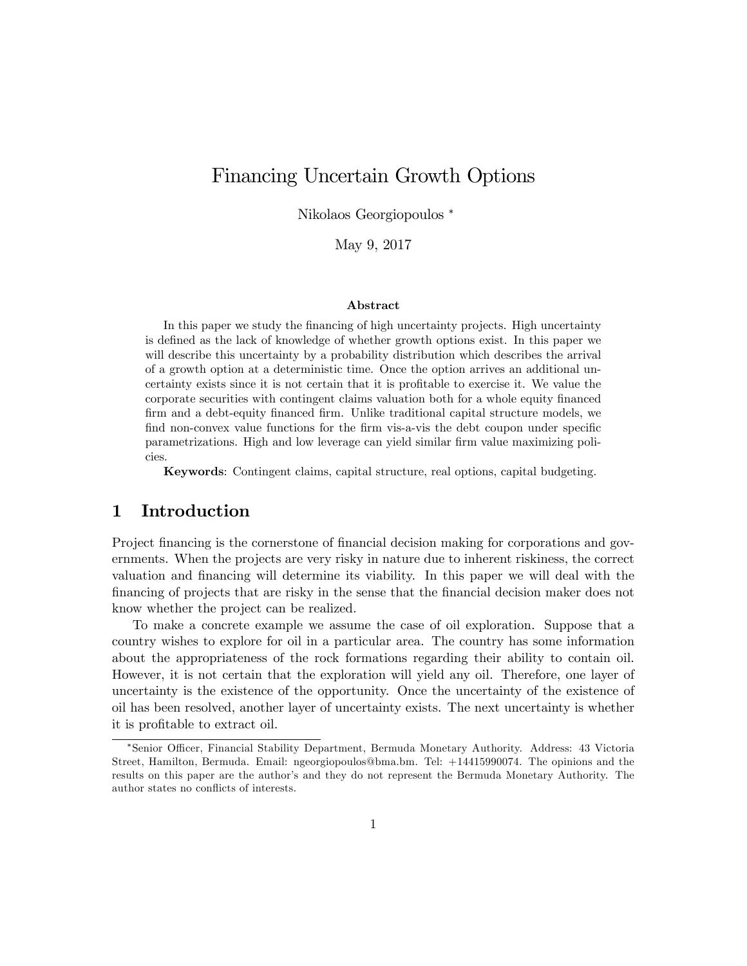# Financing Uncertain Growth Options

Nikolaos Georgiopoulos

May 9, 2017

#### Abstract

In this paper we study the Önancing of high uncertainty projects. High uncertainty is defined as the lack of knowledge of whether growth options exist. In this paper we will describe this uncertainty by a probability distribution which describes the arrival of a growth option at a deterministic time. Once the option arrives an additional uncertainty exists since it is not certain that it is profitable to exercise it. We value the corporate securities with contingent claims valuation both for a whole equity financed Örm and a debt-equity Önanced Örm. Unlike traditional capital structure models, we find non-convex value functions for the firm vis-a-vis the debt coupon under specific parametrizations. High and low leverage can yield similar firm value maximizing policies.

Keywords: Contingent claims, capital structure, real options, capital budgeting.

# 1 Introduction

Project financing is the cornerstone of financial decision making for corporations and governments. When the projects are very risky in nature due to inherent riskiness, the correct valuation and Önancing will determine its viability. In this paper we will deal with the Önancing of projects that are risky in the sense that the Önancial decision maker does not know whether the project can be realized.

To make a concrete example we assume the case of oil exploration. Suppose that a country wishes to explore for oil in a particular area. The country has some information about the appropriateness of the rock formations regarding their ability to contain oil. However, it is not certain that the exploration will yield any oil. Therefore, one layer of uncertainty is the existence of the opportunity. Once the uncertainty of the existence of oil has been resolved, another layer of uncertainty exists. The next uncertainty is whether it is profitable to extract oil.

<sup>\*</sup>Senior Officer, Financial Stability Department, Bermuda Monetary Authority. Address: 43 Victoria Street, Hamilton, Bermuda. Email: ngeorgiopoulos@bma.bm. Tel: +14415990074. The opinions and the results on this paper are the authorís and they do not represent the Bermuda Monetary Authority. The author states no conflicts of interests.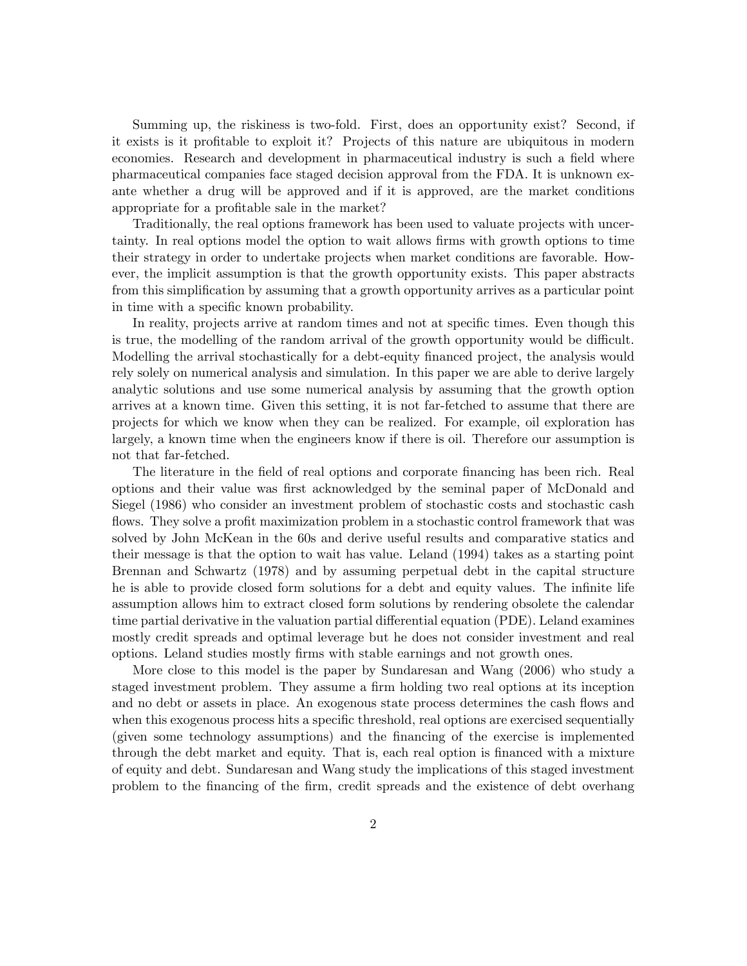Summing up, the riskiness is two-fold. First, does an opportunity exist? Second, if it exists is it profitable to exploit it? Projects of this nature are ubiquitous in modern economies. Research and development in pharmaceutical industry is such a field where pharmaceutical companies face staged decision approval from the FDA. It is unknown exante whether a drug will be approved and if it is approved, are the market conditions appropriate for a profitable sale in the market?

Traditionally, the real options framework has been used to valuate projects with uncertainty. In real options model the option to wait allows Örms with growth options to time their strategy in order to undertake projects when market conditions are favorable. However, the implicit assumption is that the growth opportunity exists. This paper abstracts from this simplification by assuming that a growth opportunity arrives as a particular point in time with a specific known probability.

In reality, projects arrive at random times and not at specific times. Even though this is true, the modelling of the random arrival of the growth opportunity would be difficult. Modelling the arrival stochastically for a debt-equity Önanced project, the analysis would rely solely on numerical analysis and simulation. In this paper we are able to derive largely analytic solutions and use some numerical analysis by assuming that the growth option arrives at a known time. Given this setting, it is not far-fetched to assume that there are projects for which we know when they can be realized. For example, oil exploration has largely, a known time when the engineers know if there is oil. Therefore our assumption is not that far-fetched.

The literature in the field of real options and corporate financing has been rich. Real options and their value was first acknowledged by the seminal paper of McDonald and Siegel (1986) who consider an investment problem of stochastic costs and stochastic cash flows. They solve a profit maximization problem in a stochastic control framework that was solved by John McKean in the 60s and derive useful results and comparative statics and their message is that the option to wait has value. Leland (1994) takes as a starting point Brennan and Schwartz (1978) and by assuming perpetual debt in the capital structure he is able to provide closed form solutions for a debt and equity values. The infinite life assumption allows him to extract closed form solutions by rendering obsolete the calendar time partial derivative in the valuation partial differential equation (PDE). Leland examines mostly credit spreads and optimal leverage but he does not consider investment and real options. Leland studies mostly Örms with stable earnings and not growth ones.

More close to this model is the paper by Sundaresan and Wang (2006) who study a staged investment problem. They assume a firm holding two real options at its inception and no debt or assets in place. An exogenous state process determines the cash flows and when this exogenous process hits a specific threshold, real options are exercised sequentially (given some technology assumptions) and the Önancing of the exercise is implemented through the debt market and equity. That is, each real option is financed with a mixture of equity and debt. Sundaresan and Wang study the implications of this staged investment problem to the Önancing of the Örm, credit spreads and the existence of debt overhang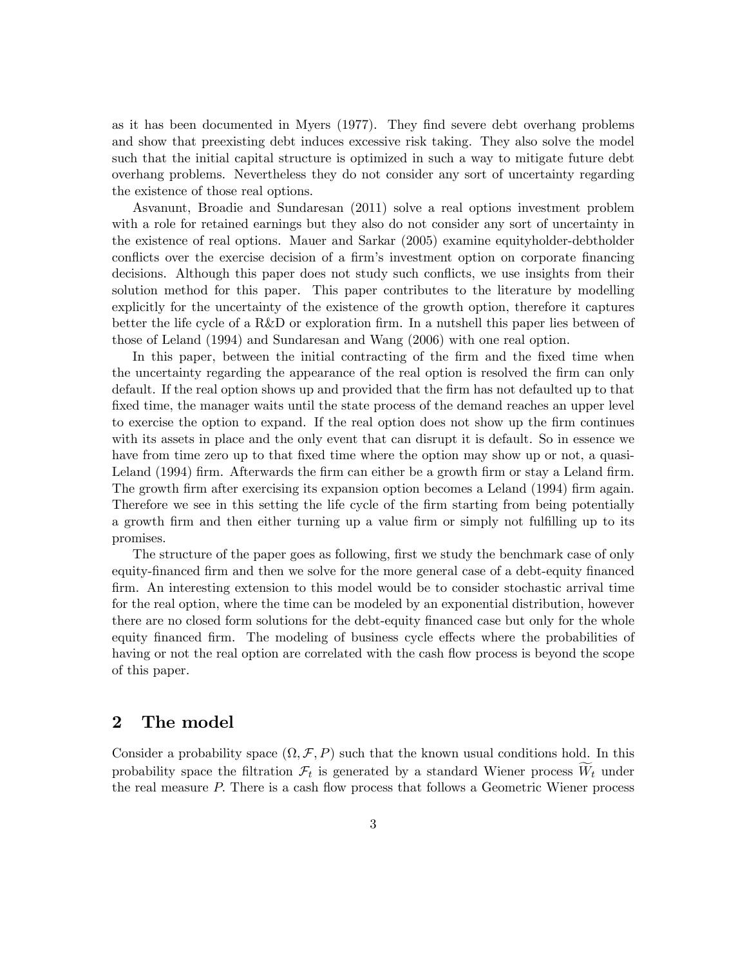as it has been documented in Myers (1977). They find severe debt overhang problems and show that preexisting debt induces excessive risk taking. They also solve the model such that the initial capital structure is optimized in such a way to mitigate future debt overhang problems. Nevertheless they do not consider any sort of uncertainty regarding the existence of those real options.

Asvanunt, Broadie and Sundaresan (2011) solve a real options investment problem with a role for retained earnings but they also do not consider any sort of uncertainty in the existence of real options. Mauer and Sarkar (2005) examine equityholder-debtholder conflicts over the exercise decision of a firm's investment option on corporate financing decisions. Although this paper does not study such conflicts, we use insights from their solution method for this paper. This paper contributes to the literature by modelling explicitly for the uncertainty of the existence of the growth option, therefore it captures better the life cycle of a  $R\&D$  or exploration firm. In a nutshell this paper lies between of those of Leland (1994) and Sundaresan and Wang (2006) with one real option.

In this paper, between the initial contracting of the firm and the fixed time when the uncertainty regarding the appearance of the real option is resolved the firm can only default. If the real option shows up and provided that the firm has not defaulted up to that fixed time, the manager waits until the state process of the demand reaches an upper level to exercise the option to expand. If the real option does not show up the firm continues with its assets in place and the only event that can disrupt it is default. So in essence we have from time zero up to that fixed time where the option may show up or not, a quasi-Leland (1994) firm. Afterwards the firm can either be a growth firm or stay a Leland firm. The growth firm after exercising its expansion option becomes a Leland (1994) firm again. Therefore we see in this setting the life cycle of the firm starting from being potentially a growth firm and then either turning up a value firm or simply not fulfilling up to its promises.

The structure of the paper goes as following, first we study the benchmark case of only equity-financed firm and then we solve for the more general case of a debt-equity financed firm. An interesting extension to this model would be to consider stochastic arrival time for the real option, where the time can be modeled by an exponential distribution, however there are no closed form solutions for the debt-equity financed case but only for the whole equity financed firm. The modeling of business cycle effects where the probabilities of having or not the real option are correlated with the cash flow process is beyond the scope of this paper.

# 2 The model

Consider a probability space  $(\Omega, \mathcal{F}, P)$  such that the known usual conditions hold. In this probability space the filtration  $\mathcal{F}_t$  is generated by a standard Wiener process  $W_t$  under the real measure  $P$ . There is a cash flow process that follows a Geometric Wiener process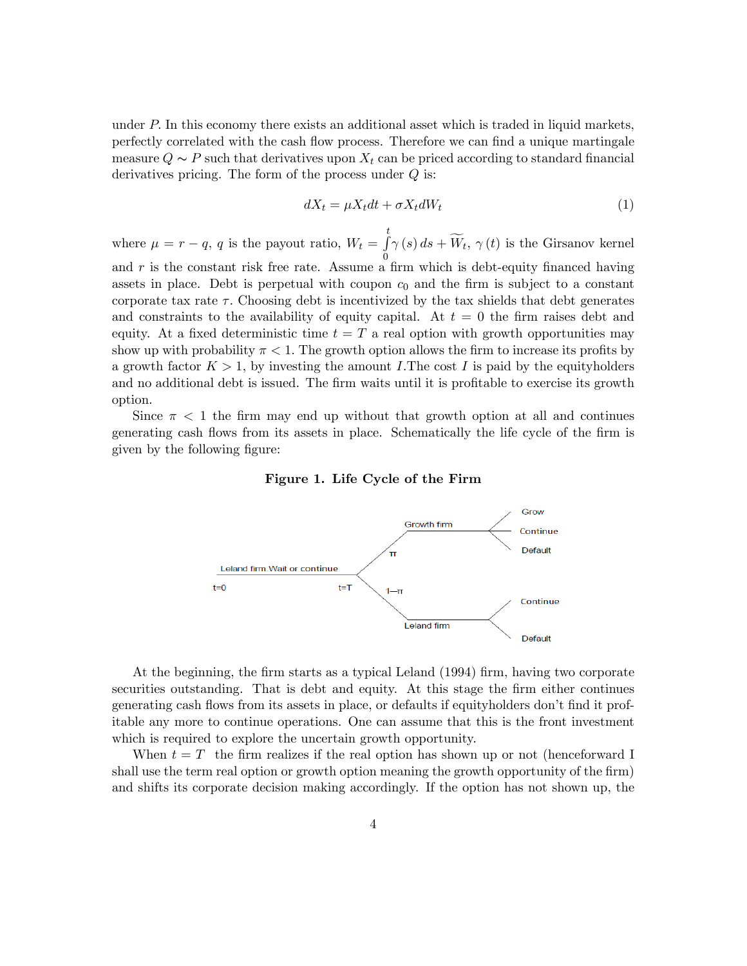under  $P$ . In this economy there exists an additional asset which is traded in liquid markets, perfectly correlated with the cash flow process. Therefore we can find a unique martingale measure  $Q \sim P$  such that derivatives upon  $X_t$  can be priced according to standard financial derivatives pricing. The form of the process under  $Q$  is:

$$
dX_t = \mu X_t dt + \sigma X_t dW_t \tag{1}
$$

where  $\mu = r - q$ , q is the payout ratio,  $W_t = \int_s^t$  $\int_{0}^{\infty} f(\mathbf{s}) d\mathbf{s} + W_t, \gamma(t)$  is the Girsanov kernel and  $r$  is the constant risk free rate. Assume a firm which is debt-equity financed having assets in place. Debt is perpetual with coupon  $c_0$  and the firm is subject to a constant corporate tax rate  $\tau$ . Choosing debt is incentivized by the tax shields that debt generates and constraints to the availability of equity capital. At  $t = 0$  the firm raises debt and equity. At a fixed deterministic time  $t = T$  a real option with growth opportunities may show up with probability  $\pi < 1$ . The growth option allows the firm to increase its profits by a growth factor  $K > 1$ , by investing the amount I. The cost I is paid by the equityholders and no additional debt is issued. The firm waits until it is profitable to exercise its growth option.

Since  $\pi$  < 1 the firm may end up without that growth option at all and continues generating cash flows from its assets in place. Schematically the life cycle of the firm is given by the following figure:

Figure 1. Life Cycle of the Firm



At the beginning, the firm starts as a typical Leland (1994) firm, having two corporate securities outstanding. That is debt and equity. At this stage the firm either continues generating cash flows from its assets in place, or defaults if equityholders don't find it profitable any more to continue operations. One can assume that this is the front investment which is required to explore the uncertain growth opportunity.

When  $t = T$  the firm realizes if the real option has shown up or not (henceforward I shall use the term real option or growth option meaning the growth opportunity of the firm) and shifts its corporate decision making accordingly. If the option has not shown up, the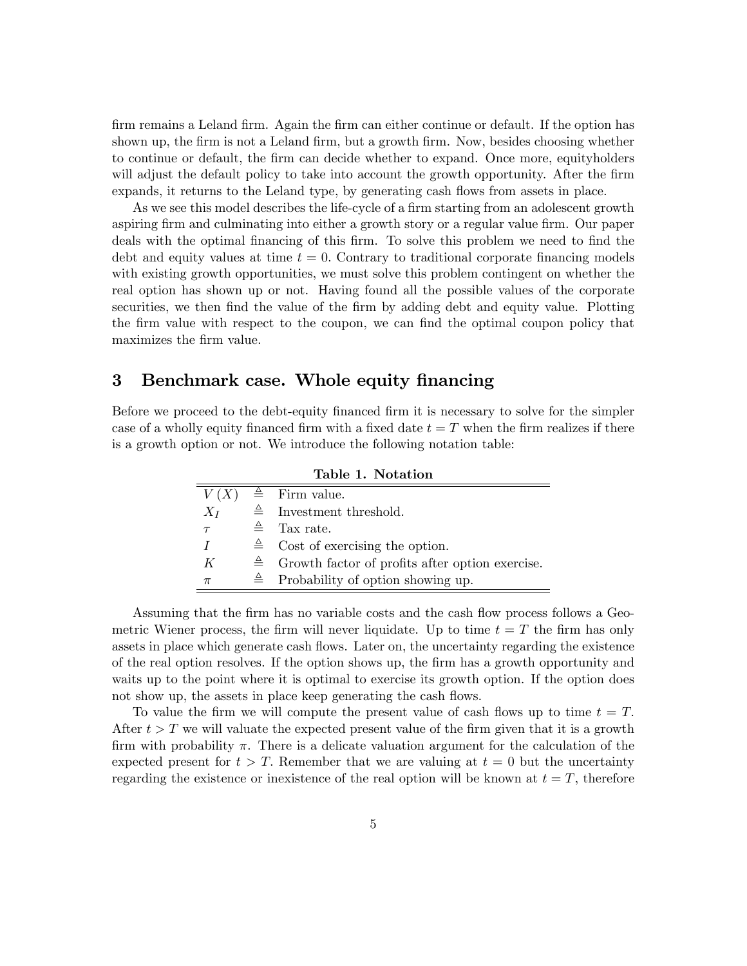firm remains a Leland firm. Again the firm can either continue or default. If the option has shown up, the firm is not a Leland firm, but a growth firm. Now, besides choosing whether to continue or default, the Örm can decide whether to expand. Once more, equityholders will adjust the default policy to take into account the growth opportunity. After the firm expands, it returns to the Leland type, by generating cash flows from assets in place.

As we see this model describes the life-cycle of a firm starting from an adolescent growth aspiring firm and culminating into either a growth story or a regular value firm. Our paper deals with the optimal financing of this firm. To solve this problem we need to find the debt and equity values at time  $t = 0$ . Contrary to traditional corporate financing models with existing growth opportunities, we must solve this problem contingent on whether the real option has shown up or not. Having found all the possible values of the corporate securities, we then find the value of the firm by adding debt and equity value. Plotting the firm value with respect to the coupon, we can find the optimal coupon policy that maximizes the firm value.

# 3 Benchmark case. Whole equity financing

Before we proceed to the debt-equity financed firm it is necessary to solve for the simpler case of a wholly equity financed firm with a fixed date  $t = T$  when the firm realizes if there is a growth option or not. We introduce the following notation table:

| Table T. Trotation |  |                                                              |  |  |  |
|--------------------|--|--------------------------------------------------------------|--|--|--|
|                    |  | $V(X) \triangleq$ Firm value.                                |  |  |  |
| $X_I$              |  | $\triangleq$ Investment threshold.                           |  |  |  |
| $\tau$             |  | $\triangleq$ Tax rate.                                       |  |  |  |
| T                  |  | $\triangleq$ Cost of exercising the option.                  |  |  |  |
| K                  |  | $\triangleq$ Growth factor of profits after option exercise. |  |  |  |
| $\pi$              |  | $\triangleq$ Probability of option showing up.               |  |  |  |

Table 1. Notation

Assuming that the firm has no variable costs and the cash flow process follows a Geometric Wiener process, the firm will never liquidate. Up to time  $t = T$  the firm has only assets in place which generate cash flows. Later on, the uncertainty regarding the existence of the real option resolves. If the option shows up, the Örm has a growth opportunity and waits up to the point where it is optimal to exercise its growth option. If the option does not show up, the assets in place keep generating the cash flows.

To value the firm we will compute the present value of cash flows up to time  $t = T$ . After  $t > T$  we will valuate the expected present value of the firm given that it is a growth firm with probability  $\pi$ . There is a delicate valuation argument for the calculation of the expected present for  $t > T$ . Remember that we are valuing at  $t = 0$  but the uncertainty regarding the existence or inexistence of the real option will be known at  $t = T$ , therefore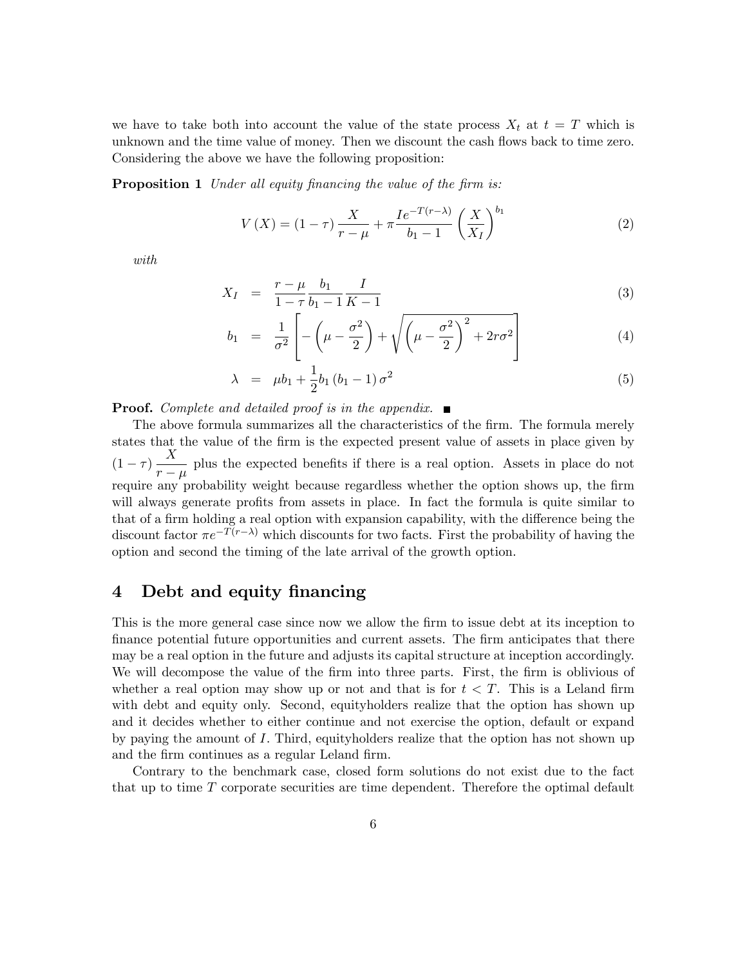we have to take both into account the value of the state process  $X_t$  at  $t = T$  which is unknown and the time value of money. Then we discount the cash flows back to time zero. Considering the above we have the following proposition:

**Proposition 1** Under all equity financing the value of the firm is:

$$
V(X) = (1 - \tau) \frac{X}{r - \mu} + \pi \frac{I e^{-T(r - \lambda)}}{b_1 - 1} \left(\frac{X}{X_I}\right)^{b_1}
$$
 (2)

with

$$
X_I = \frac{r - \mu}{1 - \tau} \frac{b_1}{b_1 - 1} \frac{I}{K - 1} \tag{3}
$$

$$
b_1 = \frac{1}{\sigma^2} \left[ -\left(\mu - \frac{\sigma^2}{2}\right) + \sqrt{\left(\mu - \frac{\sigma^2}{2}\right)^2 + 2r\sigma^2} \right] \tag{4}
$$

$$
\lambda = \mu b_1 + \frac{1}{2} b_1 (b_1 - 1) \sigma^2 \tag{5}
$$

**Proof.** Complete and detailed proof is in the appendix.  $\blacksquare$ 

The above formula summarizes all the characteristics of the firm. The formula merely states that the value of the firm is the expected present value of assets in place given by  $(1-\tau)\frac{X}{r-1}$  $\frac{1}{r - \mu}$  plus the expected benefits if there is a real option. Assets in place do not require any probability weight because regardless whether the option shows up, the firm will always generate profits from assets in place. In fact the formula is quite similar to that of a firm holding a real option with expansion capability, with the difference being the discount factor  $\pi e^{-T(r-\lambda)}$  which discounts for two facts. First the probability of having the option and second the timing of the late arrival of the growth option.

# 4 Debt and equity financing

This is the more general case since now we allow the firm to issue debt at its inception to finance potential future opportunities and current assets. The firm anticipates that there may be a real option in the future and adjusts its capital structure at inception accordingly. We will decompose the value of the firm into three parts. First, the firm is oblivious of whether a real option may show up or not and that is for  $t < T$ . This is a Leland firm with debt and equity only. Second, equityholders realize that the option has shown up and it decides whether to either continue and not exercise the option, default or expand by paying the amount of I: Third, equityholders realize that the option has not shown up and the firm continues as a regular Leland firm.

Contrary to the benchmark case, closed form solutions do not exist due to the fact that up to time T corporate securities are time dependent. Therefore the optimal default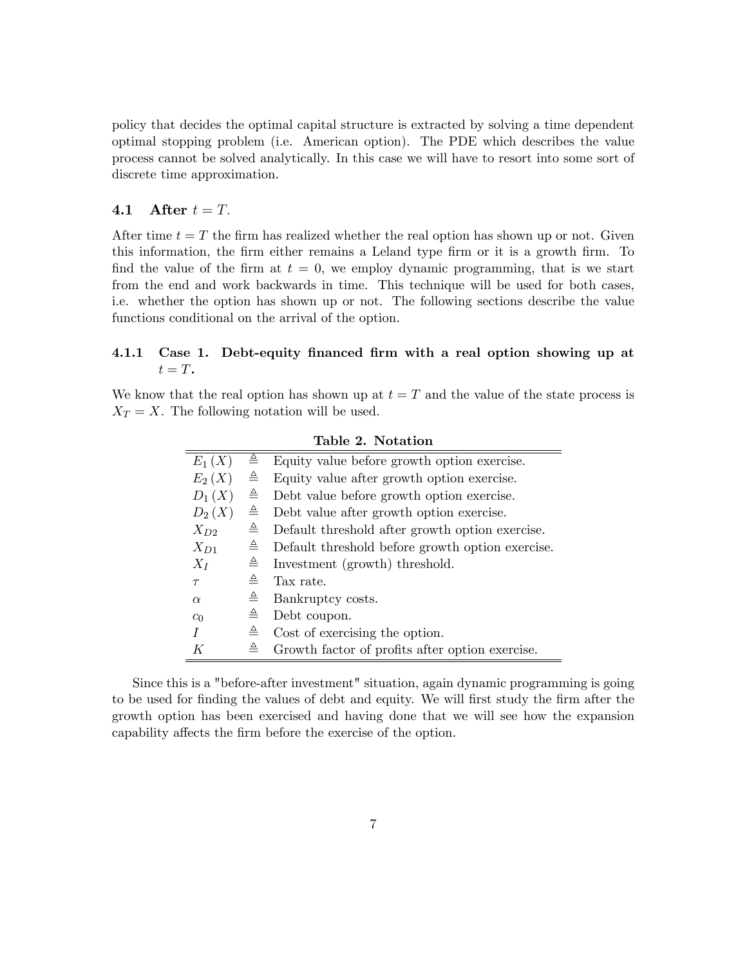policy that decides the optimal capital structure is extracted by solving a time dependent optimal stopping problem (i.e. American option). The PDE which describes the value process cannot be solved analytically. In this case we will have to resort into some sort of discrete time approximation.

# 4.1 After  $t = T$ .

After time  $t = T$  the firm has realized whether the real option has shown up or not. Given this information, the firm either remains a Leland type firm or it is a growth firm. To find the value of the firm at  $t = 0$ , we employ dynamic programming, that is we start from the end and work backwards in time. This technique will be used for both cases, i.e. whether the option has shown up or not. The following sections describe the value functions conditional on the arrival of the option.

## 4.1.1 Case 1. Debt-equity financed firm with a real option showing up at  $t = T$ .

We know that the real option has shown up at  $t = T$  and the value of the state process is  $X_T = X$ . The following notation will be used.

| $E_1(X)$ | ≜            | Equity value before growth option exercise.      |
|----------|--------------|--------------------------------------------------|
| $E_2(X)$ | ≜            | Equity value after growth option exercise.       |
| $D_1(X)$ | ≜            | Debt value before growth option exercise.        |
| $D_2(X)$ | ≜            | Debt value after growth option exercise.         |
| $X_{D2}$ | ≜            | Default threshold after growth option exercise.  |
| $X_{D1}$ | $\triangleq$ | Default threshold before growth option exercise. |
| $X_I$    | ≙            | Investment (growth) threshold.                   |
| $\tau$   | $\triangleq$ | Tax rate.                                        |
| $\alpha$ | ≜            | Bankruptcy costs.                                |
| $c_0$    | ≜            | Debt coupon.                                     |
|          | ≜            | Cost of exercising the option.                   |
| K        | ≜            | Growth factor of profits after option exercise.  |

Table 2. Notation

Since this is a "before-after investment" situation, again dynamic programming is going to be used for finding the values of debt and equity. We will first study the firm after the growth option has been exercised and having done that we will see how the expansion capability affects the firm before the exercise of the option.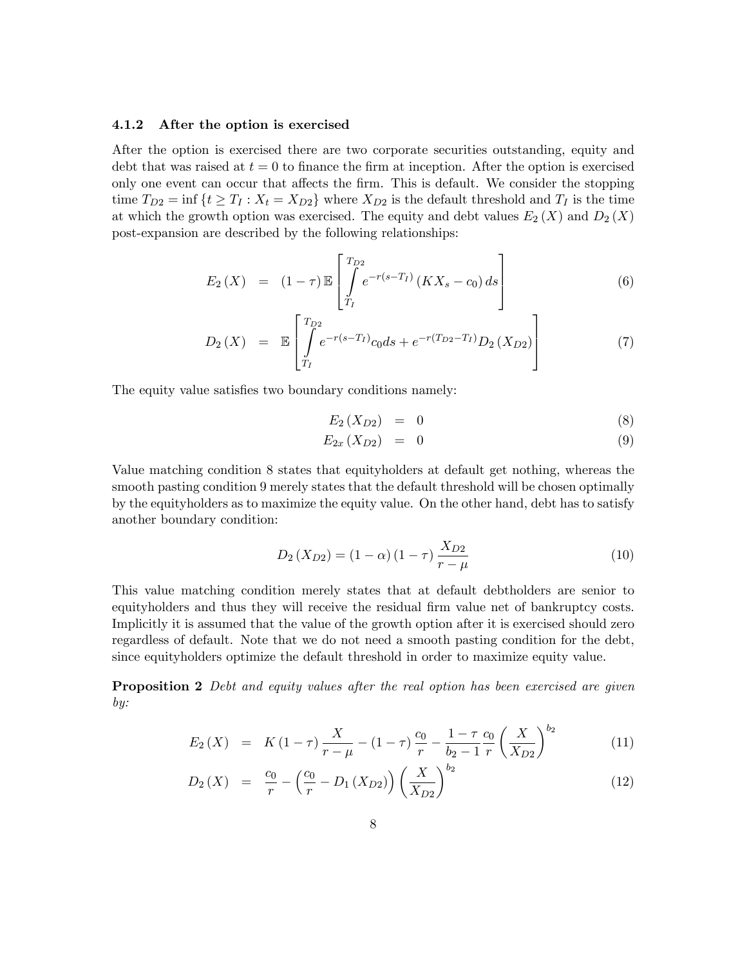#### 4.1.2 After the option is exercised

After the option is exercised there are two corporate securities outstanding, equity and debt that was raised at  $t = 0$  to finance the firm at inception. After the option is exercised only one event can occur that affects the firm. This is default. We consider the stopping time  $T_{D2} = \inf \{ t \geq T_I : X_t = X_{D2} \}$  where  $X_{D2}$  is the default threshold and  $T_I$  is the time at which the growth option was exercised. The equity and debt values  $E_2(X)$  and  $D_2(X)$ post-expansion are described by the following relationships:

$$
E_2(X) = (1 - \tau) \mathbb{E} \left[ \int_{T_I}^{T_{D2}} e^{-r(s - T_I)} \left( K X_s - c_0 \right) ds \right]
$$
 (6)

$$
D_2(X) = \mathbb{E}\left[\int_{T_I}^{T_{D2}} e^{-r(s-T_I)} c_0 ds + e^{-r(T_{D2}-T_I)} D_2(X_{D2})\right]
$$
(7)

The equity value satisfies two boundary conditions namely:

$$
E_2\left(X_{D2}\right) = 0 \tag{8}
$$

$$
E_{2x}\left(X_{D2}\right) = 0\tag{9}
$$

Value matching condition 8 states that equityholders at default get nothing, whereas the smooth pasting condition 9 merely states that the default threshold will be chosen optimally by the equityholders as to maximize the equity value. On the other hand, debt has to satisfy another boundary condition:

$$
D_2(X_{D2}) = (1 - \alpha) (1 - \tau) \frac{X_{D2}}{r - \mu}
$$
 (10)

This value matching condition merely states that at default debtholders are senior to equityholders and thus they will receive the residual firm value net of bankruptcy costs. Implicitly it is assumed that the value of the growth option after it is exercised should zero regardless of default. Note that we do not need a smooth pasting condition for the debt, since equityholders optimize the default threshold in order to maximize equity value.

**Proposition 2** Debt and equity values after the real option has been exercised are given by:

$$
E_2(X) = K(1-\tau)\frac{X}{r-\mu} - (1-\tau)\frac{c_0}{r} - \frac{1-\tau}{b_2-1}\frac{c_0}{r}\left(\frac{X}{X_{D2}}\right)^{b_2}
$$
(11)

$$
D_2(X) = \frac{c_0}{r} - \left(\frac{c_0}{r} - D_1(X_{D2})\right) \left(\frac{X}{X_{D2}}\right)^{b_2}
$$
\n(12)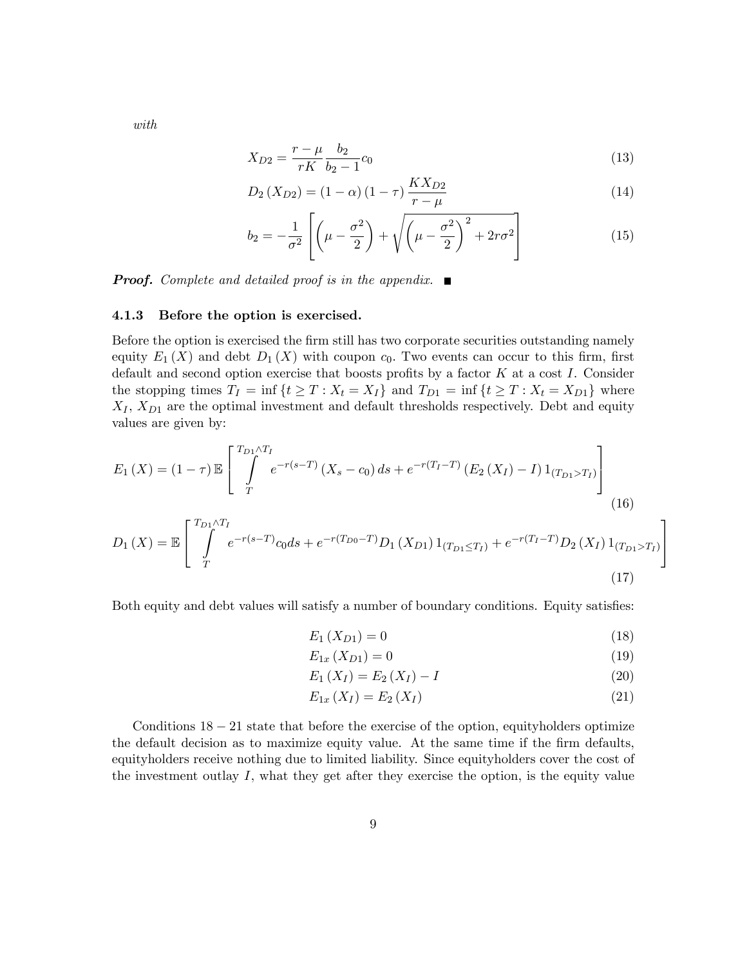with

$$
X_{D2} = \frac{r - \mu}{rK} \frac{b_2}{b_2 - 1} c_0 \tag{13}
$$

$$
D_2(X_{D2}) = (1 - \alpha) (1 - \tau) \frac{K X_{D2}}{r - \mu}
$$
\n(14)

$$
b_2 = -\frac{1}{\sigma^2} \left[ \left( \mu - \frac{\sigma^2}{2} \right) + \sqrt{\left( \mu - \frac{\sigma^2}{2} \right)^2 + 2r\sigma^2} \right]
$$
 (15)

**Proof.** Complete and detailed proof is in the appendix.  $\blacksquare$ 

#### 4.1.3 Before the option is exercised.

Before the option is exercised the firm still has two corporate securities outstanding namely equity  $E_1(X)$  and debt  $D_1(X)$  with coupon  $c_0$ . Two events can occur to this firm, first default and second option exercise that boosts profits by a factor  $K$  at a cost  $I$ . Consider the stopping times  $T_I = \inf \{ t \geq T : X_t = X_I \}$  and  $T_{D1} = \inf \{ t \geq T : X_t = X_{D1} \}$  where  $X_I, X_{D1}$  are the optimal investment and default thresholds respectively. Debt and equity values are given by:

$$
E_1(X) = (1 - \tau) \mathbb{E} \left[ \int_{T}^{T_{D1} \wedge T_I} e^{-r(s - T)} (X_s - c_0) ds + e^{-r(T_I - T)} (E_2(X_I) - I) 1_{(T_{D1} > T_I)} \right]
$$
\n
$$
E_1(X) = \left[ \int_{T}^{T_{D1} \wedge T_I} e^{-r(s - T)} (X_s - c_0) ds + e^{-r(T_I - T)} 1_{(T_{D1} > T_I)} \right]
$$
\n
$$
E_2(X) = \int_{T}^{T_{D1} \wedge T_I} e^{-r(s - T)} (X_s - c_0) ds + e^{-r(T_I - T)} 1_{(T_{D1} > T_I)} \tag{16}
$$

$$
D_1(X) = \mathbb{E}\left[\int_{T}^{T_{D1}\wedge T_I} e^{-r(s-T)}c_0ds + e^{-r(T_{D0}-T)}D_1(X_{D1})\mathbb{1}_{(T_{D1}\leq T_I)} + e^{-r(T_I-T)}D_2(X_I)\mathbb{1}_{(T_{D1}>T_I)}\right]
$$
\n(17)

Both equity and debt values will satisfy a number of boundary conditions. Equity satisfies:

$$
E_1(X_{D1}) = 0 \t\t(18)
$$

$$
E_{1x}\left(X_{D1}\right) = 0\tag{19}
$$

$$
E_1(X_I) = E_2(X_I) - I \tag{20}
$$

$$
E_{1x}\left(X_{I}\right) = E_{2}\left(X_{I}\right) \tag{21}
$$

Conditions  $18 - 21$  state that before the exercise of the option, equityholders optimize the default decision as to maximize equity value. At the same time if the firm defaults, equityholders receive nothing due to limited liability. Since equityholders cover the cost of the investment outlay  $I$ , what they get after they exercise the option, is the equity value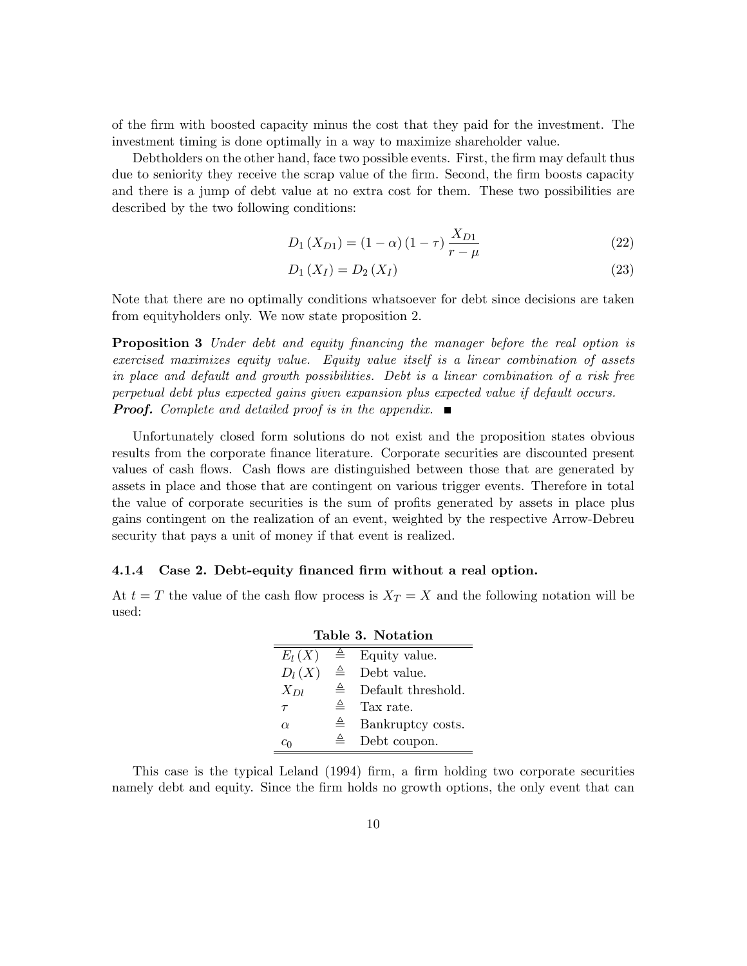of the Örm with boosted capacity minus the cost that they paid for the investment. The investment timing is done optimally in a way to maximize shareholder value.

Debtholders on the other hand, face two possible events. First, the firm may default thus due to seniority they receive the scrap value of the firm. Second, the firm boosts capacity and there is a jump of debt value at no extra cost for them. These two possibilities are described by the two following conditions:

$$
D_1(X_{D1}) = (1 - \alpha)(1 - \tau)\frac{X_{D1}}{r - \mu} \tag{22}
$$

$$
D_1(X_I) = D_2(X_I) \t\t(23)
$$

Note that there are no optimally conditions whatsoever for debt since decisions are taken from equityholders only. We now state proposition 2.

**Proposition 3** Under debt and equity financing the manager before the real option is exercised maximizes equity value. Equity value itself is a linear combination of assets in place and default and growth possibilities. Debt is a linear combination of a risk free perpetual debt plus expected gains given expansion plus expected value if default occurs. **Proof.** Complete and detailed proof is in the appendix.  $\blacksquare$ 

Unfortunately closed form solutions do not exist and the proposition states obvious results from the corporate finance literature. Corporate securities are discounted present values of cash flows. Cash flows are distinguished between those that are generated by assets in place and those that are contingent on various trigger events. Therefore in total the value of corporate securities is the sum of profits generated by assets in place plus gains contingent on the realization of an event, weighted by the respective Arrow-Debreu security that pays a unit of money if that event is realized.

#### 4.1.4 Case 2. Debt-equity financed firm without a real option.

At  $t = T$  the value of the cash flow process is  $X_T = X$  and the following notation will be used:

| Table 3. Notation |              |                    |  |  |  |
|-------------------|--------------|--------------------|--|--|--|
| $E_l(X)$          |              | Equity value.      |  |  |  |
| $D_l(X)$          | $\triangleq$ | Debt value.        |  |  |  |
| $X_{Dl}$          | ≜            | Default threshold. |  |  |  |
| $\tau$            | ≙            | Tax rate.          |  |  |  |
| $\alpha$          | 스            | Bankruptcy costs.  |  |  |  |
| $c_0$             |              | Debt coupon.       |  |  |  |

This case is the typical Leland (1994) firm, a firm holding two corporate securities namely debt and equity. Since the firm holds no growth options, the only event that can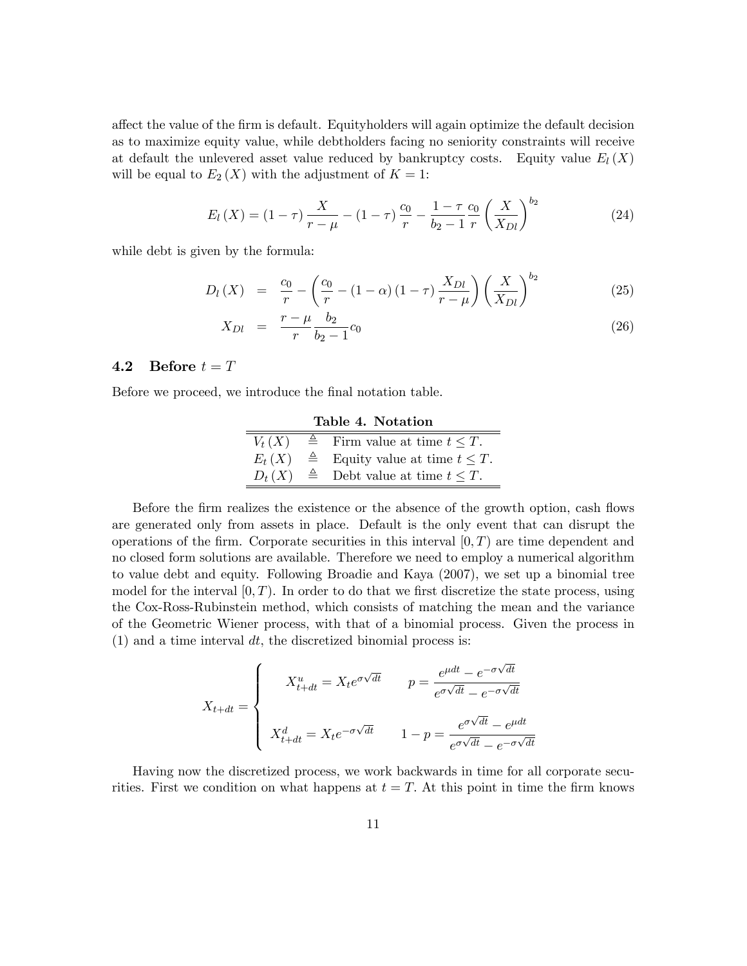affect the value of the firm is default. Equityholders will again optimize the default decision as to maximize equity value, while debtholders facing no seniority constraints will receive at default the unlevered asset value reduced by bankruptcy costs. Equity value  $E_l(X)$ will be equal to  $E_2(X)$  with the adjustment of  $K = 1$ :

$$
E_l(X) = (1 - \tau) \frac{X}{r - \mu} - (1 - \tau) \frac{c_0}{r} - \frac{1 - \tau}{b_2 - 1} \frac{c_0}{r} \left(\frac{X}{X_{Dl}}\right)^{b_2}
$$
(24)

while debt is given by the formula:

$$
D_l(X) = \frac{c_0}{r} - \left(\frac{c_0}{r} - (1 - \alpha)(1 - \tau)\frac{X_{Dl}}{r - \mu}\right) \left(\frac{X}{X_{Dl}}\right)^{b_2}
$$
(25)

$$
X_{Dl} = \frac{r - \mu}{r} \frac{b_2}{b_2 - 1} c_0 \tag{26}
$$

## 4.2 Before  $t = T$

Before we proceed, we introduce the final notation table.

| Table 4. Notation |  |                                                     |  |  |  |
|-------------------|--|-----------------------------------------------------|--|--|--|
| $V_t(X)$          |  | $\triangleq$ Firm value at time $t \leq T$ .        |  |  |  |
| $E_t(X)$          |  | $\triangleq$ Equity value at time $t \leq T$ .      |  |  |  |
|                   |  | $D_t(X) \triangleq$ Debt value at time $t \leq T$ . |  |  |  |

Before the firm realizes the existence or the absence of the growth option, cash flows are generated only from assets in place. Default is the only event that can disrupt the operations of the firm. Corporate securities in this interval  $[0, T)$  are time dependent and no closed form solutions are available. Therefore we need to employ a numerical algorithm to value debt and equity. Following Broadie and Kaya (2007), we set up a binomial tree model for the interval  $(0,T)$ . In order to do that we first discretize the state process, using the Cox-Ross-Rubinstein method, which consists of matching the mean and the variance of the Geometric Wiener process, with that of a binomial process. Given the process in  $(1)$  and a time interval dt, the discretized binomial process is:

$$
X_{t+dt} = \begin{cases} X_{t+dt}^u = X_t e^{\sigma \sqrt{dt}} & p = \frac{e^{\mu dt} - e^{-\sigma \sqrt{dt}}}{e^{\sigma \sqrt{dt}} - e^{-\sigma \sqrt{dt}}} \\ X_{t+dt}^d = X_t e^{-\sigma \sqrt{dt}} & 1 - p = \frac{e^{\sigma \sqrt{dt}} - e^{\mu dt}}{e^{\sigma \sqrt{dt}} - e^{-\sigma \sqrt{dt}}} \end{cases}
$$

Having now the discretized process, we work backwards in time for all corporate securities. First we condition on what happens at  $t = T$ . At this point in time the firm knows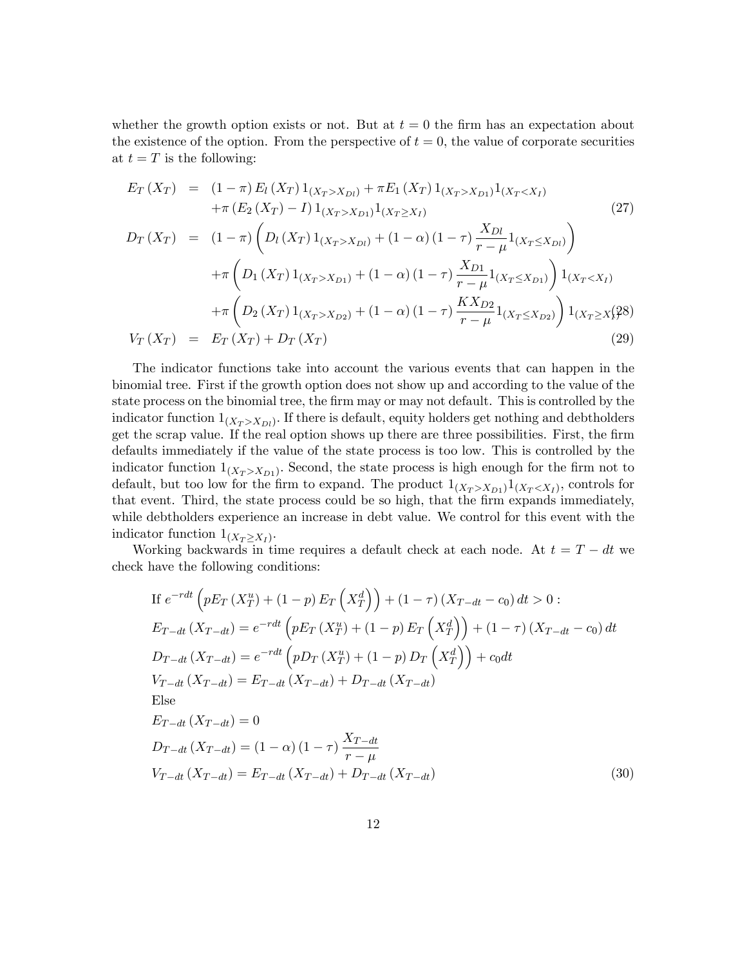whether the growth option exists or not. But at  $t = 0$  the firm has an expectation about the existence of the option. From the perspective of  $t = 0$ , the value of corporate securities at  $t = T$  is the following:

$$
E_T(X_T) = (1 - \pi) E_l(X_T) 1_{(X_T > X_{D_l})} + \pi E_1(X_T) 1_{(X_T > X_{D_l})} 1_{(X_T < X_I)}
$$
  
+  $\pi (E_2 (X_T) - I) 1_{(X_T > X_{D_l})} 1_{(X_T \ge X_I)}$  (27)  

$$
D_T(X_T) = (1 - \pi) \left( D_l(X_T) 1_{(X_T > X_{D_l})} + (1 - \alpha) (1 - \tau) \frac{X_{D_l}}{r - \mu} 1_{(X_T \le X_{D_l})} \right)
$$
  
+  $\pi \left( D_1(X_T) 1_{(X_T > X_{D_l})} + (1 - \alpha) (1 - \tau) \frac{X_{D_l}}{r - \mu} 1_{(X_T \le X_{D_l})} \right) 1_{(X_T < X_I)}$   
+  $\pi \left( D_2(X_T) 1_{(X_T > X_{D2})} + (1 - \alpha) (1 - \tau) \frac{K X_{D2}}{r - \mu} 1_{(X_T \le X_{D2})} \right) 1_{(X_T \ge X)} (29)$ 

The indicator functions take into account the various events that can happen in the binomial tree. First if the growth option does not show up and according to the value of the state process on the binomial tree, the firm may or may not default. This is controlled by the indicator function  $1_{(X_T > X_{Dl})}$ . If there is default, equity holders get nothing and debtholders get the scrap value. If the real option shows up there are three possibilities. First, the firm defaults immediately if the value of the state process is too low. This is controlled by the indicator function  $1_{(X_T > X_{D1})}$ . Second, the state process is high enough for the firm not to default, but too low for the firm to expand. The product  $1_{(X_T > X_{D1})} 1_{(X_T < X_I)}$ , controls for that event. Third, the state process could be so high, that the firm expands immediately, while debtholders experience an increase in debt value. We control for this event with the indicator function  $1_{(X_T \ge X_I)}$ .

Working backwards in time requires a default check at each node. At  $t = T - dt$  we check have the following conditions:

If 
$$
e^{-rdt} \left( pE_T (X_T^u) + (1 - p) E_T (X_T^d) \right) + (1 - \tau) (X_{T-dt} - c_0) dt > 0
$$
:  
\n
$$
E_{T-dt} (X_{T-dt}) = e^{-rdt} \left( pE_T (X_T^u) + (1 - p) E_T (X_T^d) \right) + (1 - \tau) (X_{T-dt} - c_0) dt
$$
\n
$$
D_{T-dt} (X_{T-dt}) = e^{-rdt} \left( pD_T (X_T^u) + (1 - p) D_T (X_T^d) \right) + c_0 dt
$$
\n
$$
V_{T-dt} (X_{T-dt}) = E_{T-dt} (X_{T-dt}) + D_{T-dt} (X_{T-dt})
$$
\nElse\n
$$
E_{T-dt} (X_{T-dt}) = 0
$$
\n
$$
D_{T-dt} (X_{T-dt}) = (1 - \alpha) (1 - \tau) \frac{X_{T-dt}}{r - \mu}
$$
\n
$$
V_{T-dt} (X_{T-dt}) = E_{T-dt} (X_{T-dt}) + D_{T-dt} (X_{T-dt})
$$
\n(30)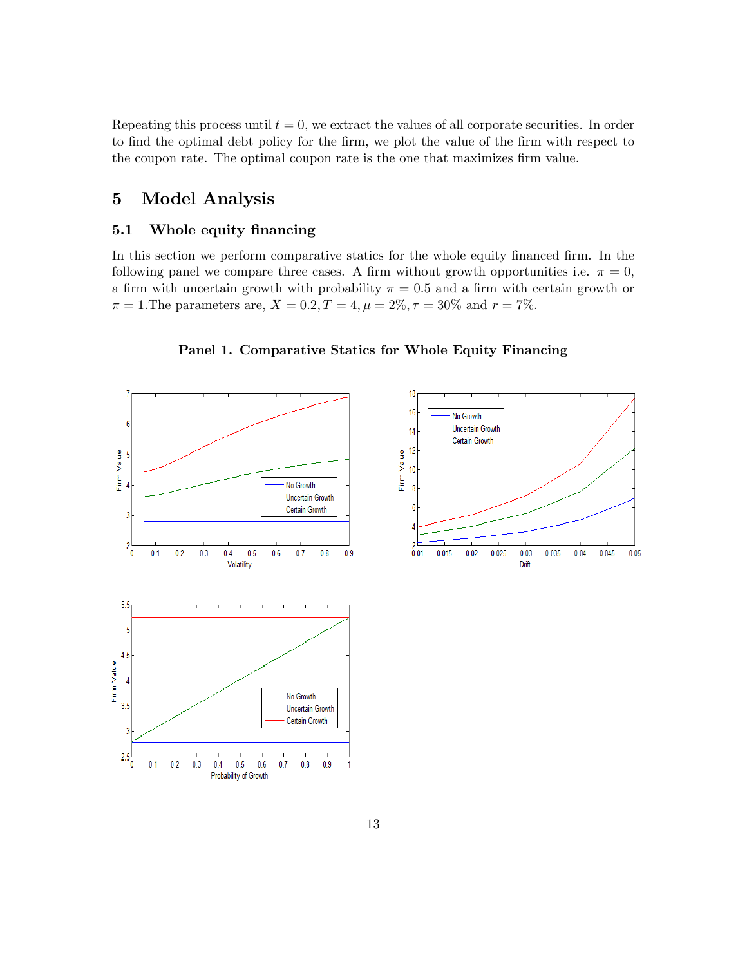Repeating this process until  $t = 0$ , we extract the values of all corporate securities. In order to find the optimal debt policy for the firm, we plot the value of the firm with respect to the coupon rate. The optimal coupon rate is the one that maximizes firm value.

# 5 Model Analysis

## 5.1 Whole equity financing

In this section we perform comparative statics for the whole equity financed firm. In the following panel we compare three cases. A firm without growth opportunities i.e.  $\pi = 0$ , a firm with uncertain growth with probability  $\pi = 0.5$  and a firm with certain growth or  $\pi = 1$ . The parameters are,  $X = 0.2, T = 4, \mu = 2\%, \tau = 30\%$  and  $r = 7\%$ .



Panel 1. Comparative Statics for Whole Equity Financing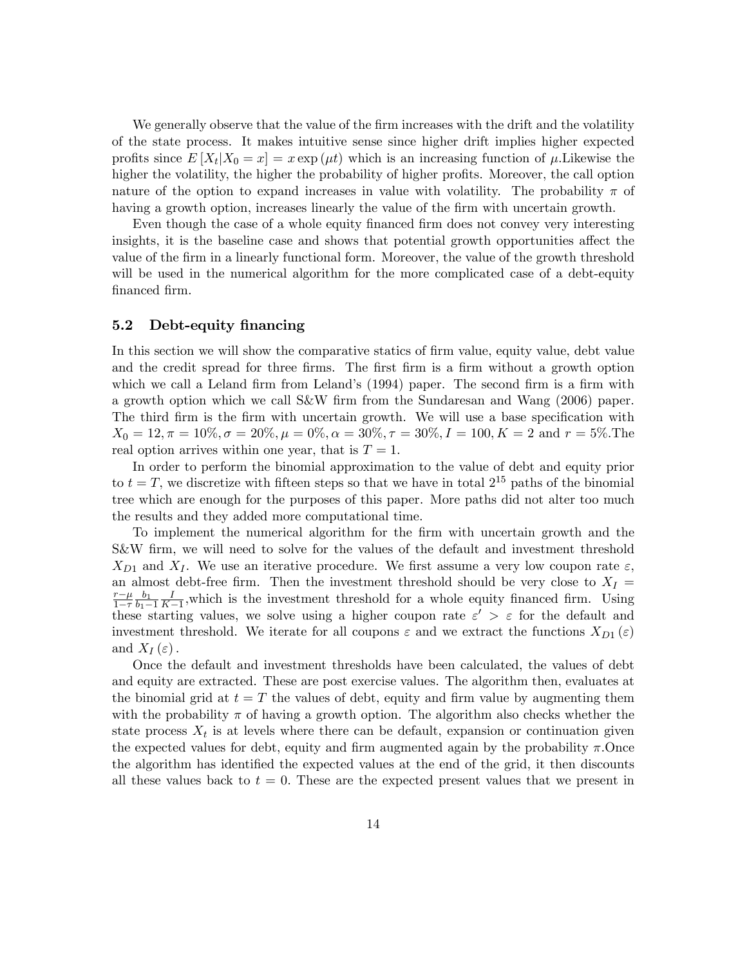We generally observe that the value of the firm increases with the drift and the volatility of the state process. It makes intuitive sense since higher drift implies higher expected profits since  $E[X_t|X_0=x] = x \exp(\mu t)$  which is an increasing function of  $\mu$ . Likewise the higher the volatility, the higher the probability of higher profits. Moreover, the call option nature of the option to expand increases in value with volatility. The probability  $\pi$  of having a growth option, increases linearly the value of the firm with uncertain growth.

Even though the case of a whole equity financed firm does not convey very interesting insights, it is the baseline case and shows that potential growth opportunities affect the value of the Örm in a linearly functional form. Moreover, the value of the growth threshold will be used in the numerical algorithm for the more complicated case of a debt-equity financed firm.

## 5.2 Debt-equity financing

In this section we will show the comparative statics of firm value, equity value, debt value and the credit spread for three firms. The first firm is a firm without a growth option which we call a Leland firm from Leland's  $(1994)$  paper. The second firm is a firm with a growth option which we call S&W Örm from the Sundaresan and Wang (2006) paper. The third firm is the firm with uncertain growth. We will use a base specification with  $X_0 = 12, \pi = 10\%, \sigma = 20\%, \mu = 0\%, \alpha = 30\%, \tau = 30\%, I = 100, K = 2 \text{ and } r = 5\%.$  The real option arrives within one year, that is  $T = 1$ .

In order to perform the binomial approximation to the value of debt and equity prior to  $t = T$ , we discretize with fifteen steps so that we have in total  $2^{15}$  paths of the binomial tree which are enough for the purposes of this paper. More paths did not alter too much the results and they added more computational time.

To implement the numerical algorithm for the Örm with uncertain growth and the S&W firm, we will need to solve for the values of the default and investment threshold  $X_{D1}$  and  $X_I$ . We use an iterative procedure. We first assume a very low coupon rate  $\varepsilon$ , an almost debt-free firm. Then the investment threshold should be very close to  $X_I$  =  $rac{r-\mu}{\sigma}$  $\frac{1-\tau}{1}$  $b_1$  $b_1 - 1$ I  $\frac{I}{K-1}$ , which is the investment threshold for a whole equity financed firm. Using these starting values, we solve using a higher coupon rate  $\varepsilon' > \varepsilon$  for the default and investment threshold. We iterate for all coupons  $\varepsilon$  and we extract the functions  $X_{D_1}(\varepsilon)$ and  $X_I(\varepsilon)$ .

Once the default and investment thresholds have been calculated, the values of debt and equity are extracted. These are post exercise values. The algorithm then, evaluates at the binomial grid at  $t = T$  the values of debt, equity and firm value by augmenting them with the probability  $\pi$  of having a growth option. The algorithm also checks whether the state process  $X_t$  is at levels where there can be default, expansion or continuation given the expected values for debt, equity and firm augmented again by the probability  $\pi$ . Once the algorithm has identified the expected values at the end of the grid, it then discounts all these values back to  $t = 0$ . These are the expected present values that we present in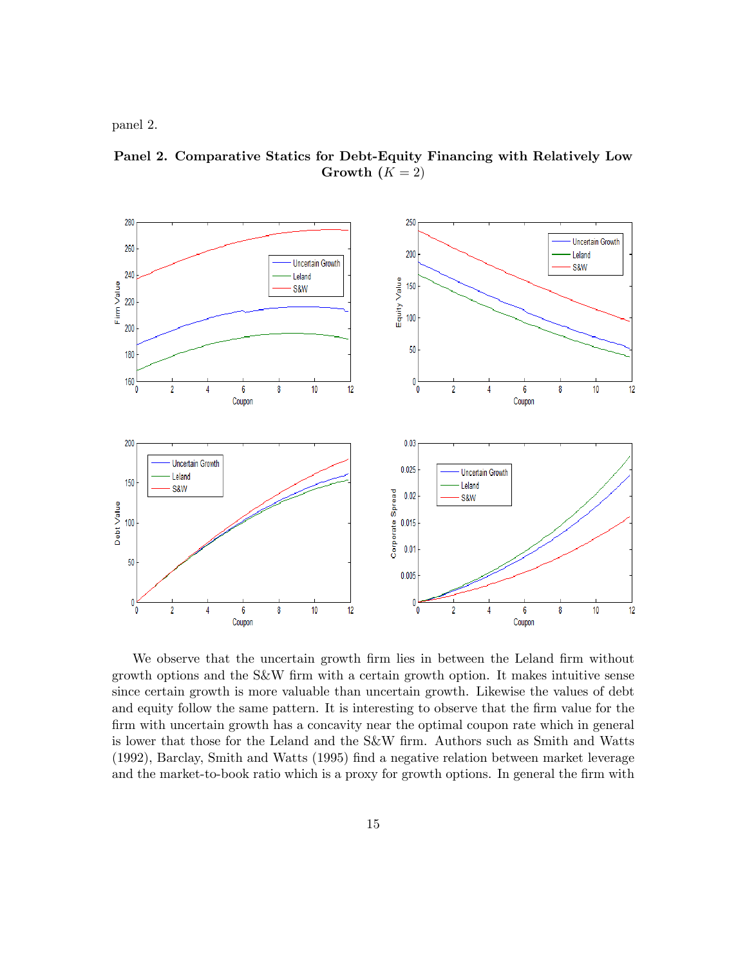panel 2.



Panel 2. Comparative Statics for Debt-Equity Financing with Relatively Low Growth  $(K = 2)$ 

We observe that the uncertain growth firm lies in between the Leland firm without growth options and the S&W Örm with a certain growth option. It makes intuitive sense since certain growth is more valuable than uncertain growth. Likewise the values of debt and equity follow the same pattern. It is interesting to observe that the firm value for the firm with uncertain growth has a concavity near the optimal coupon rate which in general is lower that those for the Leland and the S&W Örm. Authors such as Smith and Watts (1992), Barclay, Smith and Watts (1995) find a negative relation between market leverage and the market-to-book ratio which is a proxy for growth options. In general the firm with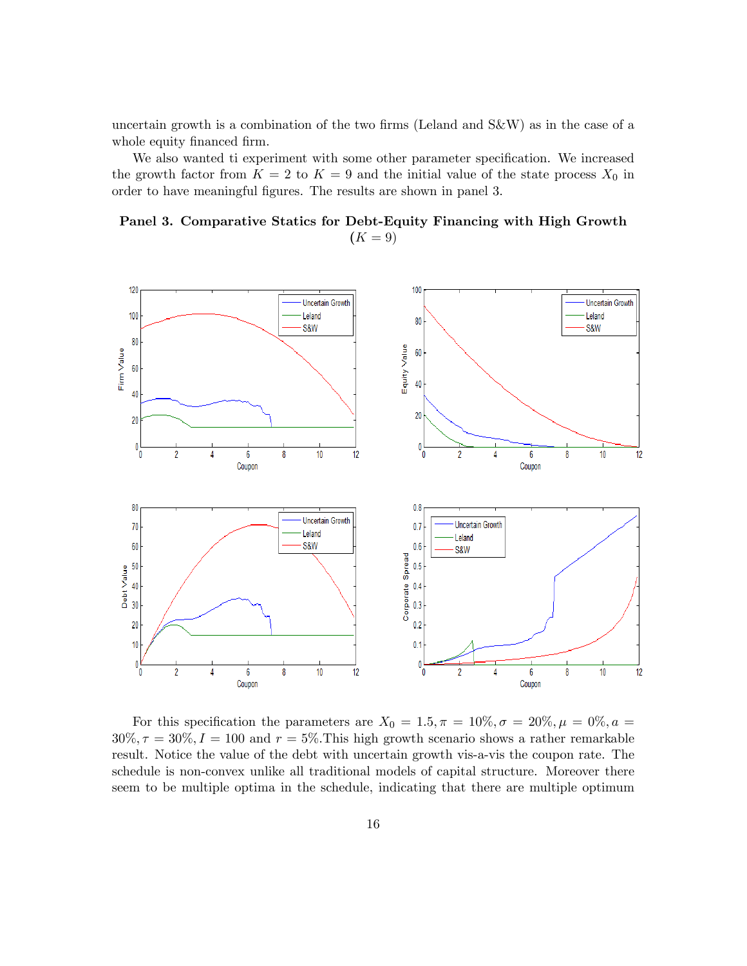uncertain growth is a combination of the two firms (Leland and  $S\&W$ ) as in the case of a whole equity financed firm.

We also wanted ti experiment with some other parameter specification. We increased the growth factor from  $K = 2$  to  $K = 9$  and the initial value of the state process  $X_0$  in order to have meaningful figures. The results are shown in panel 3.

Panel 3. Comparative Statics for Debt-Equity Financing with High Growth  $(K = 9)$ 



For this specification the parameters are  $X_0 = 1.5, \pi = 10\%, \sigma = 20\%, \mu = 0\%, a = 10\%$  $30\%, \tau = 30\%, I = 100$  and  $r = 5\%.$  This high growth scenario shows a rather remarkable result. Notice the value of the debt with uncertain growth vis-a-vis the coupon rate. The schedule is non-convex unlike all traditional models of capital structure. Moreover there seem to be multiple optima in the schedule, indicating that there are multiple optimum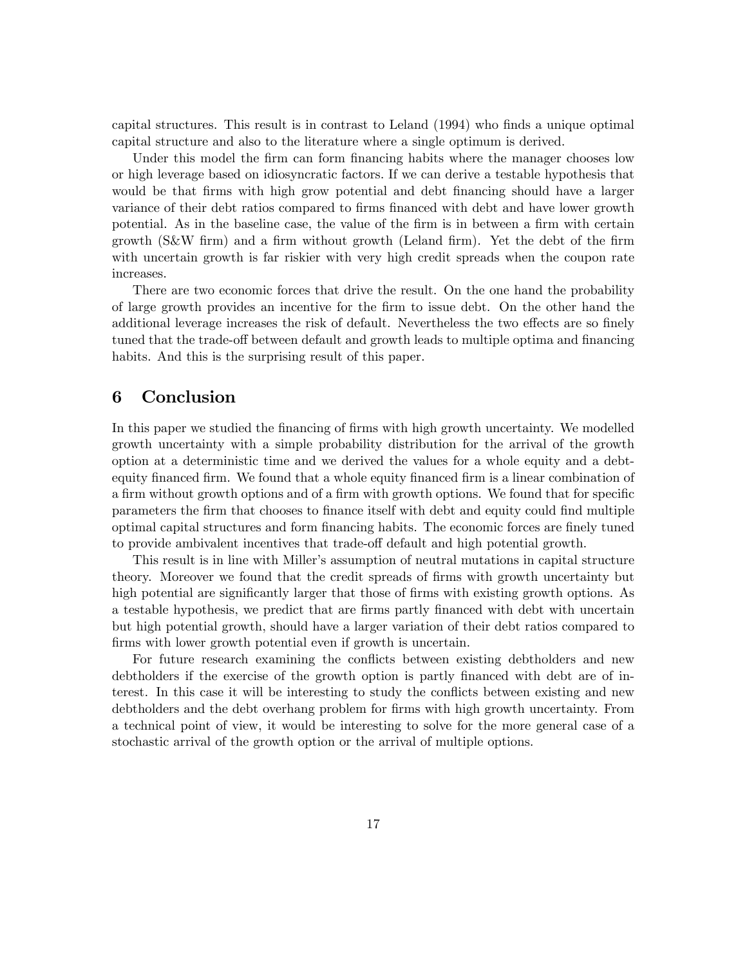capital structures. This result is in contrast to Leland (1994) who Önds a unique optimal capital structure and also to the literature where a single optimum is derived.

Under this model the firm can form financing habits where the manager chooses low or high leverage based on idiosyncratic factors: If we can derive a testable hypothesis that would be that firms with high grow potential and debt financing should have a larger variance of their debt ratios compared to firms financed with debt and have lower growth potential. As in the baseline case, the value of the firm is in between a firm with certain growth  $(S\&W \text{ firm})$  and a firm without growth (Leland firm). Yet the debt of the firm with uncertain growth is far riskier with very high credit spreads when the coupon rate increases.

There are two economic forces that drive the result. On the one hand the probability of large growth provides an incentive for the Örm to issue debt. On the other hand the additional leverage increases the risk of default. Nevertheless the two effects are so finely tuned that the trade-off between default and growth leads to multiple optima and financing habits. And this is the surprising result of this paper.

# 6 Conclusion

In this paper we studied the financing of firms with high growth uncertainty. We modelled growth uncertainty with a simple probability distribution for the arrival of the growth option at a deterministic time and we derived the values for a whole equity and a debtequity financed firm. We found that a whole equity financed firm is a linear combination of a firm without growth options and of a firm with growth options. We found that for specific parameters the Örm that chooses to Önance itself with debt and equity could Önd multiple optimal capital structures and form financing habits. The economic forces are finely tuned to provide ambivalent incentives that trade-off default and high potential growth.

This result is in line with Miller's assumption of neutral mutations in capital structure theory. Moreover we found that the credit spreads of firms with growth uncertainty but high potential are significantly larger that those of firms with existing growth options. As a testable hypothesis, we predict that are firms partly financed with debt with uncertain but high potential growth, should have a larger variation of their debt ratios compared to firms with lower growth potential even if growth is uncertain.

For future research examining the conflicts between existing debtholders and new debtholders if the exercise of the growth option is partly financed with debt are of interest. In this case it will be interesting to study the conflicts between existing and new debtholders and the debt overhang problem for firms with high growth uncertainty. From a technical point of view, it would be interesting to solve for the more general case of a stochastic arrival of the growth option or the arrival of multiple options.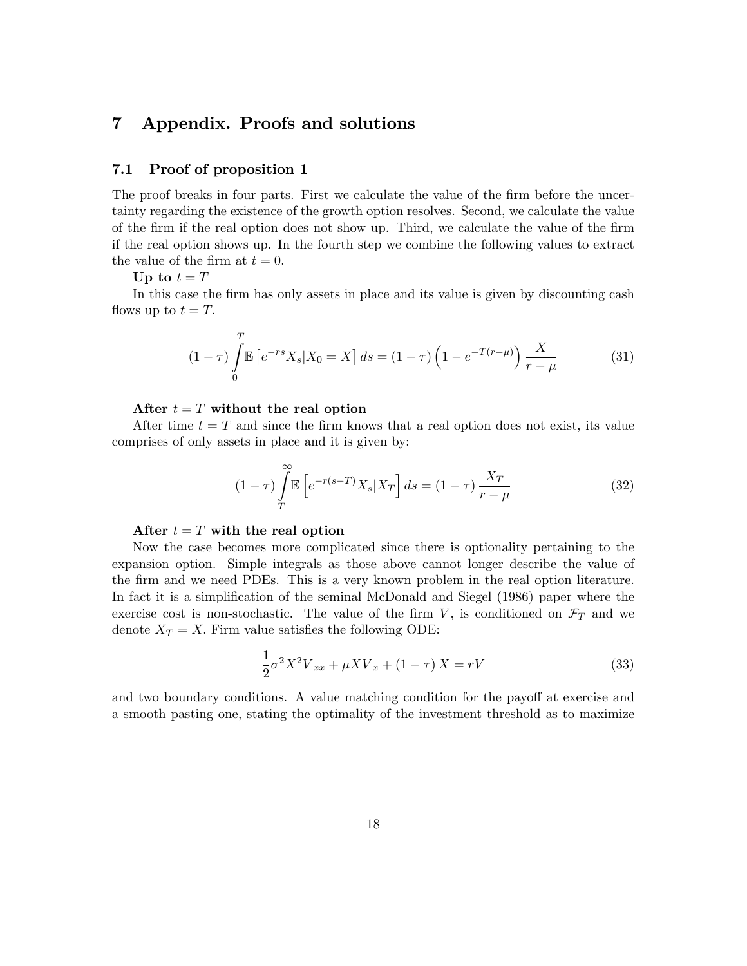# 7 Appendix. Proofs and solutions

## 7.1 Proof of proposition 1

The proof breaks in four parts. First we calculate the value of the firm before the uncertainty regarding the existence of the growth option resolves. Second, we calculate the value of the Örm if the real option does not show up. Third, we calculate the value of the Örm if the real option shows up. In the fourth step we combine the following values to extract the value of the firm at  $t = 0$ .

Up to  $t = T$ 

In this case the firm has only assets in place and its value is given by discounting cash flows up to  $t = T$ .

$$
(1 - \tau) \int_{0}^{T} \mathbb{E} \left[ e^{-rs} X_s | X_0 = X \right] ds = (1 - \tau) \left( 1 - e^{-T(r - \mu)} \right) \frac{X}{r - \mu}
$$
 (31)

#### After  $t = T$  without the real option

After time  $t = T$  and since the firm knows that a real option does not exist, its value comprises of only assets in place and it is given by:

$$
(1 - \tau) \int_{T}^{\infty} \mathbb{E}\left[e^{-r(s-T)}X_s|X_T\right]ds = (1 - \tau)\frac{X_T}{r - \mu}
$$
\n(32)

#### After  $t = T$  with the real option

Now the case becomes more complicated since there is optionality pertaining to the expansion option. Simple integrals as those above cannot longer describe the value of the Örm and we need PDEs. This is a very known problem in the real option literature. In fact it is a simplification of the seminal McDonald and Siegel (1986) paper where the exercise cost is non-stochastic. The value of the firm  $\overline{V}$ , is conditioned on  $\mathcal{F}_T$  and we denote  $X_T = X$ . Firm value satisfies the following ODE:

$$
\frac{1}{2}\sigma^2 X^2 \overline{V}_{xx} + \mu X \overline{V}_x + (1 - \tau) X = r \overline{V}
$$
\n(33)

and two boundary conditions. A value matching condition for the payoff at exercise and a smooth pasting one, stating the optimality of the investment threshold as to maximize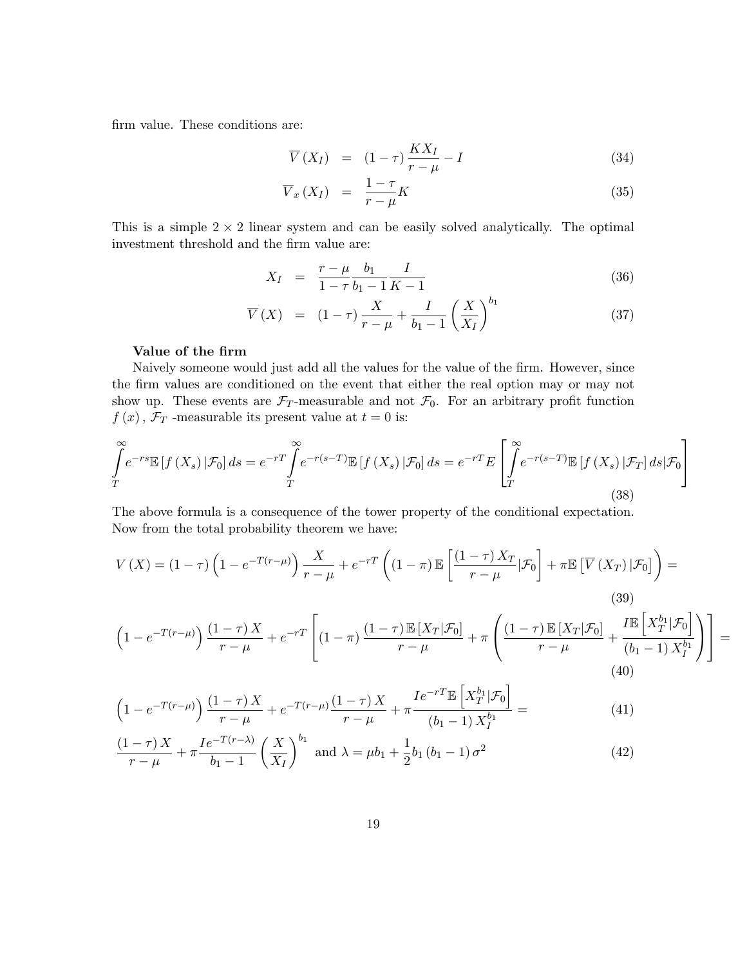firm value. These conditions are:

$$
\overline{V}(X_I) = (1 - \tau) \frac{K X_I}{r - \mu} - I \tag{34}
$$

$$
\overline{V}_x(X_I) = \frac{1-\tau}{r-\mu}K\tag{35}
$$

This is a simple  $2 \times 2$  linear system and can be easily solved analytically. The optimal investment threshold and the firm value are:

$$
X_I = \frac{r - \mu}{1 - \tau} \frac{b_1}{b_1 - 1} \frac{I}{K - 1} \tag{36}
$$

$$
\overline{V}(X) = (1 - \tau) \frac{X}{r - \mu} + \frac{I}{b_1 - 1} \left(\frac{X}{X_I}\right)^{b_1}
$$
\n(37)

## Value of the firm

Naively someone would just add all the values for the value of the firm. However, since the firm values are conditioned on the event that either the real option may or may not show up. These events are  $\mathcal{F}_T$ -measurable and not  $\mathcal{F}_0$ . For an arbitrary profit function  $f(x)$ ,  $\mathcal{F}_T$ -measurable its present value at  $t = 0$  is:

$$
\int_{T}^{\infty} e^{-rs} \mathbb{E} \left[ f\left(X_s\right) | \mathcal{F}_0 \right] ds = e^{-rT} \int_{T}^{\infty} e^{-r(s-T)} \mathbb{E} \left[ f\left(X_s\right) | \mathcal{F}_0 \right] ds = e^{-rT} E \left[ \int_{T}^{\infty} e^{-r(s-T)} \mathbb{E} \left[ f\left(X_s\right) | \mathcal{F}_T \right] ds | \mathcal{F}_0 \right]
$$
\n(38)

The above formula is a consequence of the tower property of the conditional expectation. Now from the total probability theorem we have:

$$
V(X) = (1 - \tau) \left( 1 - e^{-T(r - \mu)} \right) \frac{X}{r - \mu} + e^{-rT} \left( (1 - \pi) \mathbb{E} \left[ \frac{(1 - \tau) X_T}{r - \mu} | \mathcal{F}_0 \right] + \pi \mathbb{E} \left[ \overline{V}(X_T) | \mathcal{F}_0 \right] \right) =
$$
\n(39)  
\n
$$
\left( 1 - e^{-T(r - \mu)} \right) \frac{(1 - \tau) X}{r - \mu} + e^{-rT} \left[ (1 - \pi) \frac{(1 - \tau) \mathbb{E} \left[ X_T | \mathcal{F}_0 \right]}{r - \mu} + \pi \left( \frac{(1 - \tau) \mathbb{E} \left[ X_T | \mathcal{F}_0 \right]}{r - \mu} + \frac{\pi \mathbb{E} \left[ X_T | \mathcal{F}_0 \right]}{(b_1 - 1) X_I^{b_1}} \right) \right] =
$$
\n(40)

$$
\left(1 - e^{-T(r-\mu)}\right) \frac{\left(1-\tau\right)X}{r-\mu} + e^{-T(r-\mu)} \frac{\left(1-\tau\right)X}{r-\mu} + \pi \frac{I e^{-rT} \mathbb{E}\left[X_T^{b_1} | \mathcal{F}_0\right]}{\left(b_1 - 1\right) X_I^{b_1}} = \tag{41}
$$

$$
\frac{(1-\tau)X}{r-\mu} + \pi \frac{Ie^{-T(r-\lambda)}}{b_1-1} \left(\frac{X}{X_I}\right)^{b_1} \text{ and } \lambda = \mu b_1 + \frac{1}{2}b_1 (b_1 - 1)\sigma^2 \tag{42}
$$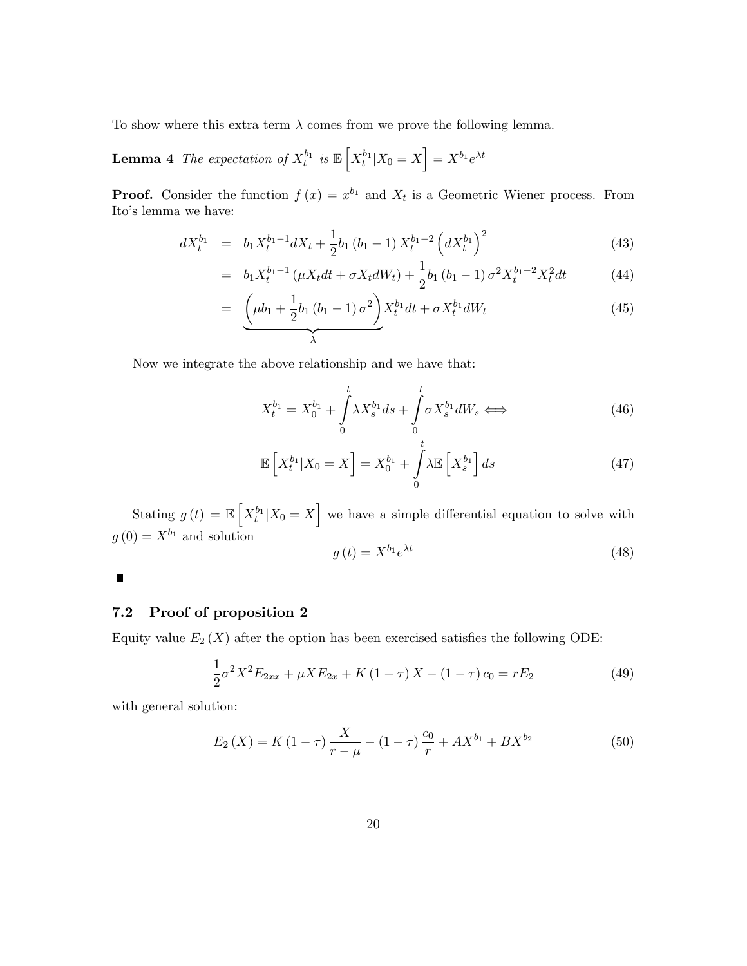To show where this extra term  $\lambda$  comes from we prove the following lemma.

**Lemma 4** The expectation of  $X_t^{b_1}$  is  $\mathbb{E}\left[X_t^{b_1}|X_0=X\right]=X^{b_1}e^{\lambda t}$ 

**Proof.** Consider the function  $f(x) = x^{b_1}$  and  $X_t$  is a Geometric Wiener process. From Ito's lemma we have:

$$
dX_t^{b_1} = b_1 X_t^{b_1 - 1} dX_t + \frac{1}{2} b_1 (b_1 - 1) X_t^{b_1 - 2} (dX_t^{b_1})^2
$$
\n(43)

$$
= b_1 X_t^{b_1 - 1} \left( \mu X_t dt + \sigma X_t dW_t \right) + \frac{1}{2} b_1 \left( b_1 - 1 \right) \sigma^2 X_t^{b_1 - 2} X_t^2 dt \tag{44}
$$

$$
= \underbrace{\left(\mu b_1 + \frac{1}{2}b_1\left(b_1 - 1\right)\sigma^2\right)}_{\lambda} X_t^{b_1} dt + \sigma X_t^{b_1} dW_t \tag{45}
$$

Now we integrate the above relationship and we have that:

$$
X_t^{b_1} = X_0^{b_1} + \int_0^t \lambda X_s^{b_1} ds + \int_0^t \sigma X_s^{b_1} dW_s \Longleftrightarrow \tag{46}
$$

$$
\mathbb{E}\left[X_t^{b_1}|X_0=X\right]=X_0^{b_1}+\int\limits_0^t\lambda\mathbb{E}\left[X_s^{b_1}\right]ds\tag{47}
$$

Stating  $g(t) = \mathbb{E}\left[X_t^{b_1}|X_0=X\right]$  we have a simple differential equation to solve with  $g(0) = X^{b_1}$  and solution

$$
g(t) = X^{b_1} e^{\lambda t} \tag{48}
$$

 $\qquad \qquad \blacksquare$ 

## 7.2 Proof of proposition 2

Equity value  $E_2(X)$  after the option has been exercised satisfies the following ODE:

$$
\frac{1}{2}\sigma^2 X^2 E_{2xx} + \mu X E_{2x} + K (1 - \tau) X - (1 - \tau) c_0 = r E_2
$$
\n(49)

with general solution:

$$
E_2(X) = K(1 - \tau) \frac{X}{r - \mu} - (1 - \tau) \frac{c_0}{r} + AX^{b_1} + BX^{b_2}
$$
 (50)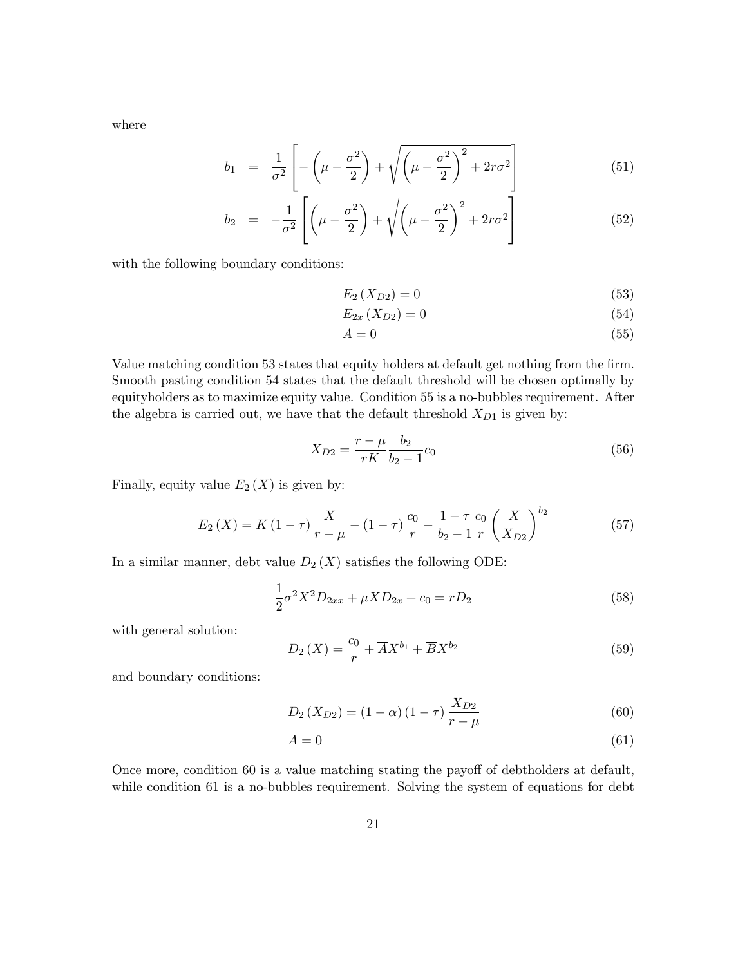where

$$
b_1 = \frac{1}{\sigma^2} \left[ -\left(\mu - \frac{\sigma^2}{2}\right) + \sqrt{\left(\mu - \frac{\sigma^2}{2}\right)^2 + 2r\sigma^2} \right]
$$
(51)

$$
b_2 = -\frac{1}{\sigma^2} \left[ \left( \mu - \frac{\sigma^2}{2} \right) + \sqrt{\left( \mu - \frac{\sigma^2}{2} \right)^2 + 2r\sigma^2} \right]
$$
(52)

with the following boundary conditions:

$$
E_2\left(X_{D2}\right) = 0\tag{53}
$$

$$
E_{2x}\left(X_{D2}\right) = 0\tag{54}
$$

$$
A = 0 \tag{55}
$$

Value matching condition 53 states that equity holders at default get nothing from the firm. Smooth pasting condition 54 states that the default threshold will be chosen optimally by equityholders as to maximize equity value. Condition 55 is a no-bubbles requirement. After the algebra is carried out, we have that the default threshold  $X_{D1}$  is given by:

$$
X_{D2} = \frac{r - \mu}{rK} \frac{b_2}{b_2 - 1} c_0 \tag{56}
$$

Finally, equity value  $E_2(X)$  is given by:

$$
E_2(X) = K(1-\tau)\frac{X}{r-\mu} - (1-\tau)\frac{c_0}{r} - \frac{1-\tau}{b_2-1}\frac{c_0}{r}\left(\frac{X}{X_{D2}}\right)^{b_2}
$$
(57)

In a similar manner, debt value  $D_2(X)$  satisfies the following ODE:

$$
\frac{1}{2}\sigma^2 X^2 D_{2xx} + \mu X D_{2x} + c_0 = r D_2 \tag{58}
$$

with general solution:

$$
D_2(X) = \frac{c_0}{r} + \overline{A}X^{b_1} + \overline{B}X^{b_2}
$$
\n
$$
(59)
$$

and boundary conditions:

$$
D_2(X_{D2}) = (1 - \alpha)(1 - \tau)\frac{X_{D2}}{r - \mu}
$$
\n(60)

$$
\overline{A} = 0 \tag{61}
$$

Once more, condition 60 is a value matching stating the payoff of debtholders at default, while condition 61 is a no-bubbles requirement. Solving the system of equations for debt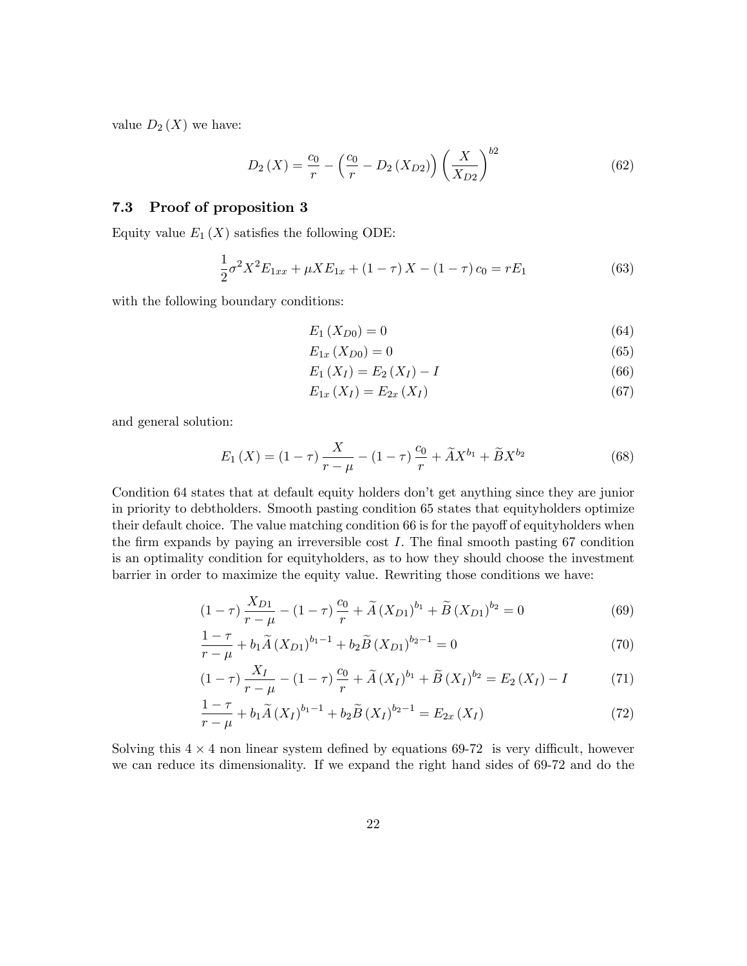value  $D_2(X)$  we have:

$$
D_2(X) = \frac{c_0}{r} - \left(\frac{c_0}{r} - D_2(X_{D2})\right) \left(\frac{X}{X_{D2}}\right)^{b2}
$$
 (62)

## 7.3 Proof of proposition 3

Equity value  $E_1(X)$  satisfies the following ODE:

$$
\frac{1}{2}\sigma^2 X^2 E_{1xx} + \mu X E_{1x} + (1 - \tau) X - (1 - \tau) c_0 = r E_1
$$
\n(63)

with the following boundary conditions:

$$
E_1\,(X_{D0}) = 0\tag{64}
$$

$$
E_{1x}\left(X_{D0}\right) = 0\tag{65}
$$

$$
E_1(X_I) = E_2(X_I) - I \tag{66}
$$

$$
E_{1x}\left(X_{I}\right) = E_{2x}\left(X_{I}\right) \tag{67}
$$

and general solution:

$$
E_1(X) = (1 - \tau) \frac{X}{r - \mu} - (1 - \tau) \frac{c_0}{r} + \tilde{A} X^{b_1} + \tilde{B} X^{b_2}
$$
 (68)

Condition 64 states that at default equity holders don't get anything since they are junior in priority to debtholders. Smooth pasting condition 65 states that equityholders optimize their default choice. The value matching condition 66 is for the payoff of equityholders when the firm expands by paying an irreversible cost  $I$ . The final smooth pasting 67 condition is an optimality condition for equityholders, as to how they should choose the investment barrier in order to maximize the equity value. Rewriting those conditions we have:

$$
(1 - \tau) \frac{X_{D1}}{r - \mu} - (1 - \tau) \frac{c_0}{r} + \tilde{A} (X_{D1})^{b_1} + \tilde{B} (X_{D1})^{b_2} = 0
$$
\n(69)

$$
\frac{1-\tau}{r-\mu} + b_1 \widetilde{A} (X_{D1})^{b_1-1} + b_2 \widetilde{B} (X_{D1})^{b_2-1} = 0 \tag{70}
$$

$$
(1 - \tau) \frac{X_I}{r - \mu} - (1 - \tau) \frac{c_0}{r} + \tilde{A} (X_I)^{b_1} + \tilde{B} (X_I)^{b_2} = E_2 (X_I) - I \tag{71}
$$

$$
\frac{1-\tau}{r-\mu} + b_1 \widetilde{A}\left(X_I\right)^{b_1-1} + b_2 \widetilde{B}\left(X_I\right)^{b_2-1} = E_{2x}\left(X_I\right) \tag{72}
$$

Solving this  $4 \times 4$  non linear system defined by equations 69-72 is very difficult, however we can reduce its dimensionality. If we expand the right hand sides of 69-72 and do the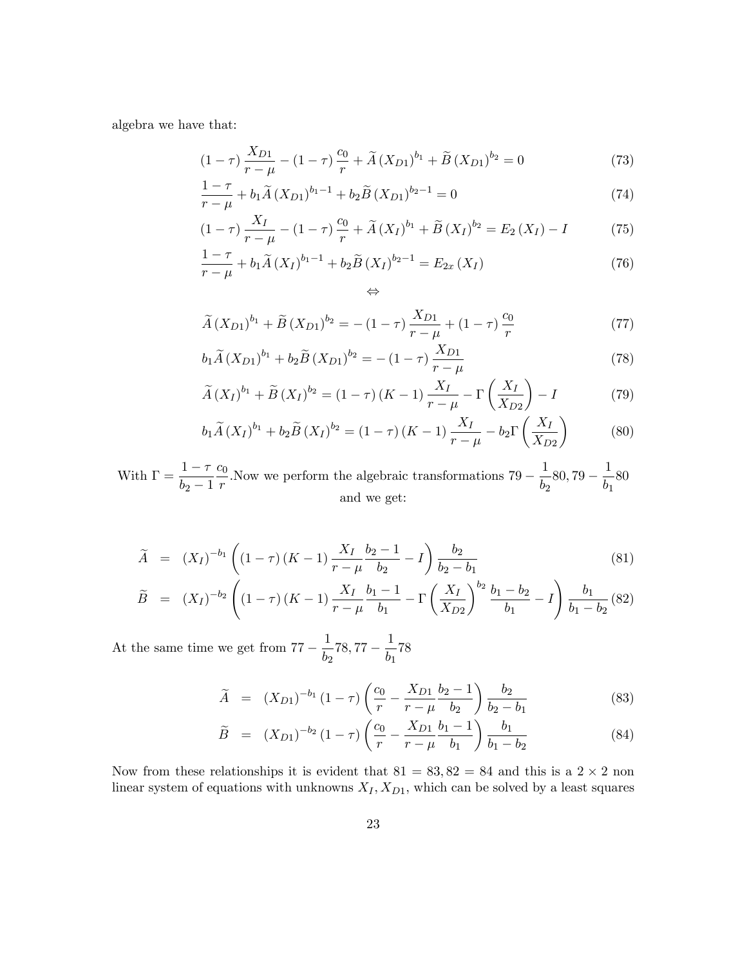algebra we have that:

$$
(1 - \tau) \frac{X_{D1}}{r - \mu} - (1 - \tau) \frac{c_0}{r} + \tilde{A} (X_{D1})^{b_1} + \tilde{B} (X_{D1})^{b_2} = 0 \tag{73}
$$

$$
\frac{1-\tau}{r-\mu} + b_1 \widetilde{A} (X_{D1})^{b_1-1} + b_2 \widetilde{B} (X_{D1})^{b_2-1} = 0 \tag{74}
$$

$$
(1 - \tau) \frac{X_I}{r - \mu} - (1 - \tau) \frac{c_0}{r} + \tilde{A} (X_I)^{b_1} + \tilde{B} (X_I)^{b_2} = E_2 (X_I) - I \tag{75}
$$

$$
\frac{1-\tau}{r-\mu} + b_1 \widetilde{A}(X_I)^{b_1-1} + b_2 \widetilde{B}(X_I)^{b_2-1} = E_{2x}(X_I)
$$
\n(76)

$$
\widetilde{A}(X_{D1})^{b_1} + \widetilde{B}(X_{D1})^{b_2} = -(1-\tau)\frac{X_{D1}}{r-\mu} + (1-\tau)\frac{c_0}{r}
$$
\n(77)

$$
b_1\widetilde{A}(X_{D1})^{b_1} + b_2\widetilde{B}(X_{D1})^{b_2} = -(1-\tau)\frac{X_{D1}}{r-\mu}
$$
\n(78)

$$
\widetilde{A}(X_I)^{b_1} + \widetilde{B}(X_I)^{b_2} = (1 - \tau)(K - 1)\frac{X_I}{r - \mu} - \Gamma\left(\frac{X_I}{X_{D2}}\right) - I \tag{79}
$$

$$
b_1 \widetilde{A}(X_I)^{b_1} + b_2 \widetilde{B}(X_I)^{b_2} = (1 - \tau)(K - 1) \frac{X_I}{r - \mu} - b_2 \Gamma\left(\frac{X_I}{X_{D2}}\right)
$$
(80)

With  $\Gamma = \frac{1-\tau}{1-\tau}$  $b_2 - 1$  $c_0$  $\frac{r}{r}$ . Now we perform the algebraic transformations  $79 - \frac{1}{b_2}$  $\frac{1}{b_2}$ 80, 79 –  $\frac{1}{b_1}$  $rac{1}{b_1}$ 80 and we get:

 $\Leftrightarrow$ 

$$
\widetilde{A} = (X_I)^{-b_1} \left( (1 - \tau) (K - 1) \frac{X_I}{r - \mu} \frac{b_2 - 1}{b_2} - I \right) \frac{b_2}{b_2 - b_1}
$$
\n(81)

$$
\widetilde{B} = (X_I)^{-b_2} \left( (1 - \tau) (K - 1) \frac{X_I}{r - \mu} \frac{b_1 - 1}{b_1} - \Gamma \left( \frac{X_I}{X_{D2}} \right)^{b_2} \frac{b_1 - b_2}{b_1} - I \right) \frac{b_1}{b_1 - b_2}
$$
(82)

At the same time we get from  $77 - \frac{1}{bc}$  $\frac{1}{b_2}$ 78, 77 –  $\frac{1}{b_1}$  $\frac{1}{b_1}$ 78

$$
\widetilde{A} = (X_{D1})^{-b_1} (1 - \tau) \left( \frac{c_0}{r} - \frac{X_{D1}}{r - \mu} \frac{b_2 - 1}{b_2} \right) \frac{b_2}{b_2 - b_1}
$$
\n(83)

$$
\widetilde{B} = (X_{D1})^{-b_2} (1 - \tau) \left( \frac{c_0}{r} - \frac{X_{D1}}{r - \mu} \frac{b_1 - 1}{b_1} \right) \frac{b_1}{b_1 - b_2} \tag{84}
$$

Now from these relationships it is evident that  $81 = 83,82 = 84$  and this is a  $2 \times 2$  non linear system of equations with unknowns  $X_I, X_{D1}$ , which can be solved by a least squares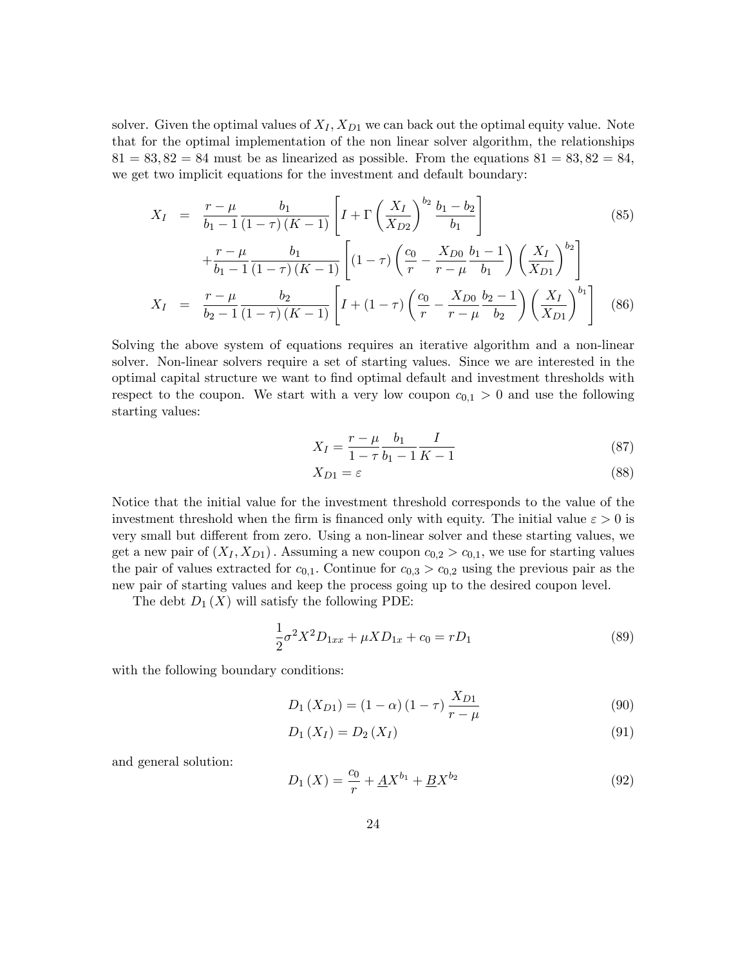solver. Given the optimal values of  $X_I, X_{D1}$  we can back out the optimal equity value. Note that for the optimal implementation of the non linear solver algorithm, the relationships  $81 = 83,82 = 84$  must be as linearized as possible. From the equations  $81 = 83,82 = 84$ , we get two implicit equations for the investment and default boundary:

$$
X_{I} = \frac{r - \mu}{b_{1} - 1} \frac{b_{1}}{(1 - \tau)(K - 1)} \left[ I + \Gamma \left( \frac{X_{I}}{X_{D2}} \right)^{b_{2}} \frac{b_{1} - b_{2}}{b_{1}} \right]
$$
\n
$$
r - \mu \qquad b_{1} \qquad \left[ \left( \frac{c_{0}}{X_{D2}} \right)^{b_{2}} \frac{b_{1} - b_{2}}{b_{1}} \right] \qquad (85)
$$

$$
+\frac{r-\mu}{b_1-1} \frac{b_1}{(1-\tau)(K-1)} \left[ (1-\tau) \left( \frac{c_0}{r} - \frac{X_{D0}}{r-\mu} \frac{b_1-1}{b_1} \right) \left( \frac{X_I}{X_{D1}} \right)^{b_2} \right]
$$
  

$$
X_I = \frac{r-\mu}{b_2-1} \frac{b_2}{(1-\tau)(K-1)} \left[ I + (1-\tau) \left( \frac{c_0}{r} - \frac{X_{D0}}{r-\mu} \frac{b_2-1}{b_2} \right) \left( \frac{X_I}{X_{D1}} \right)^{b_1} \right] (86)
$$

Solving the above system of equations requires an iterative algorithm and a non-linear solver. Non-linear solvers require a set of starting values. Since we are interested in the optimal capital structure we want to Önd optimal default and investment thresholds with respect to the coupon. We start with a very low coupon  $c_{0,1} > 0$  and use the following starting values:

$$
X_I = \frac{r - \mu}{1 - \tau} \frac{b_1}{b_1 - 1} \frac{I}{K - 1}
$$
\n(87)

$$
X_{D1} = \varepsilon \tag{88}
$$

Notice that the initial value for the investment threshold corresponds to the value of the investment threshold when the firm is financed only with equity. The initial value  $\varepsilon > 0$  is very small but different from zero. Using a non-linear solver and these starting values, we get a new pair of  $(X_I, X_{D1})$ . Assuming a new coupon  $c_{0,2} > c_{0,1}$ , we use for starting values the pair of values extracted for  $c_{0,1}$ . Continue for  $c_{0,3} > c_{0,2}$  using the previous pair as the new pair of starting values and keep the process going up to the desired coupon level.

The debt  $D_1(X)$  will satisfy the following PDE:

$$
\frac{1}{2}\sigma^2 X^2 D_{1xx} + \mu X D_{1x} + c_0 = r D_1 \tag{89}
$$

with the following boundary conditions:

$$
D_1(X_{D1}) = (1 - \alpha) (1 - \tau) \frac{X_{D1}}{r - \mu}
$$
\n(90)

$$
D_1(X_I) = D_2(X_I) \tag{91}
$$

and general solution:

$$
D_1(X) = \frac{c_0}{r} + \underline{A}X^{b_1} + \underline{B}X^{b_2}
$$
\n(92)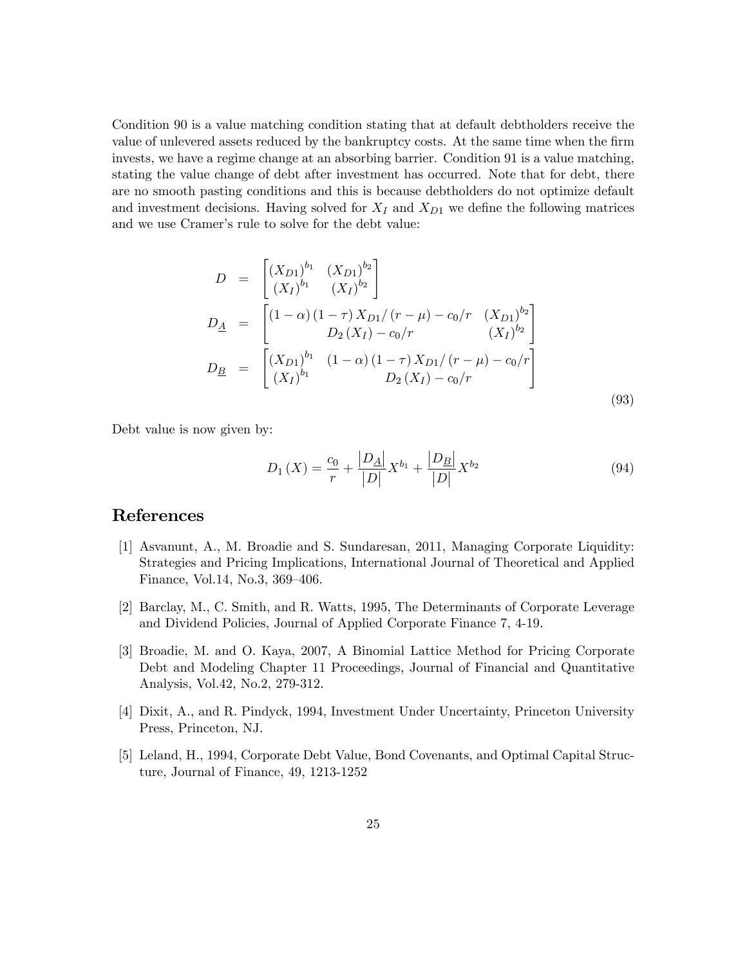Condition 90 is a value matching condition stating that at default debtholders receive the value of unlevered assets reduced by the bankruptcy costs. At the same time when the firm invests, we have a regime change at an absorbing barrier. Condition 91 is a value matching, stating the value change of debt after investment has occurred. Note that for debt, there are no smooth pasting conditions and this is because debtholders do not optimize default and investment decisions. Having solved for  $X_I$  and  $X_{D1}$  we define the following matrices and we use Cramer's rule to solve for the debt value:

$$
D = \begin{bmatrix} (X_{D1})^{b_1} & (X_{D1})^{b_2} \\ (X_I)^{b_1} & (X_I)^{b_2} \end{bmatrix}
$$
  
\n
$$
D_{\underline{A}} = \begin{bmatrix} (1 - \alpha)(1 - \tau)X_{D1}/(r - \mu) - c_0/r & (X_{D1})^{b_2} \\ D_2(X_I) - c_0/r & (X_I)^{b_2} \end{bmatrix}
$$
  
\n
$$
D_{\underline{B}} = \begin{bmatrix} (X_{D1})^{b_1} & (1 - \alpha)(1 - \tau)X_{D1}/(r - \mu) - c_0/r \\ (X_I)^{b_1} & D_2(X_I) - c_0/r \end{bmatrix}
$$
\n(93)

Debt value is now given by:

$$
D_1(X) = \frac{c_0}{r} + \frac{|D_{\underline{A}}|}{|D|} X^{b_1} + \frac{|D_{\underline{B}}|}{|D|} X^{b_2}
$$
\n(94)

# References

- [1] Asvanunt, A., M. Broadie and S. Sundaresan, 2011, Managing Corporate Liquidity: Strategies and Pricing Implications, International Journal of Theoretical and Applied Finance, Vol.14, No.3, 369–406.
- [2] Barclay, M., C. Smith, and R. Watts, 1995, The Determinants of Corporate Leverage and Dividend Policies, Journal of Applied Corporate Finance 7, 4-19.
- [3] Broadie, M. and O. Kaya, 2007, A Binomial Lattice Method for Pricing Corporate Debt and Modeling Chapter 11 Proceedings, Journal of Financial and Quantitative Analysis, Vol.42, No.2, 279-312.
- [4] Dixit, A., and R. Pindyck, 1994, Investment Under Uncertainty, Princeton University Press, Princeton, NJ.
- [5] Leland, H., 1994, Corporate Debt Value, Bond Covenants, and Optimal Capital Structure, Journal of Finance, 49, 1213-1252